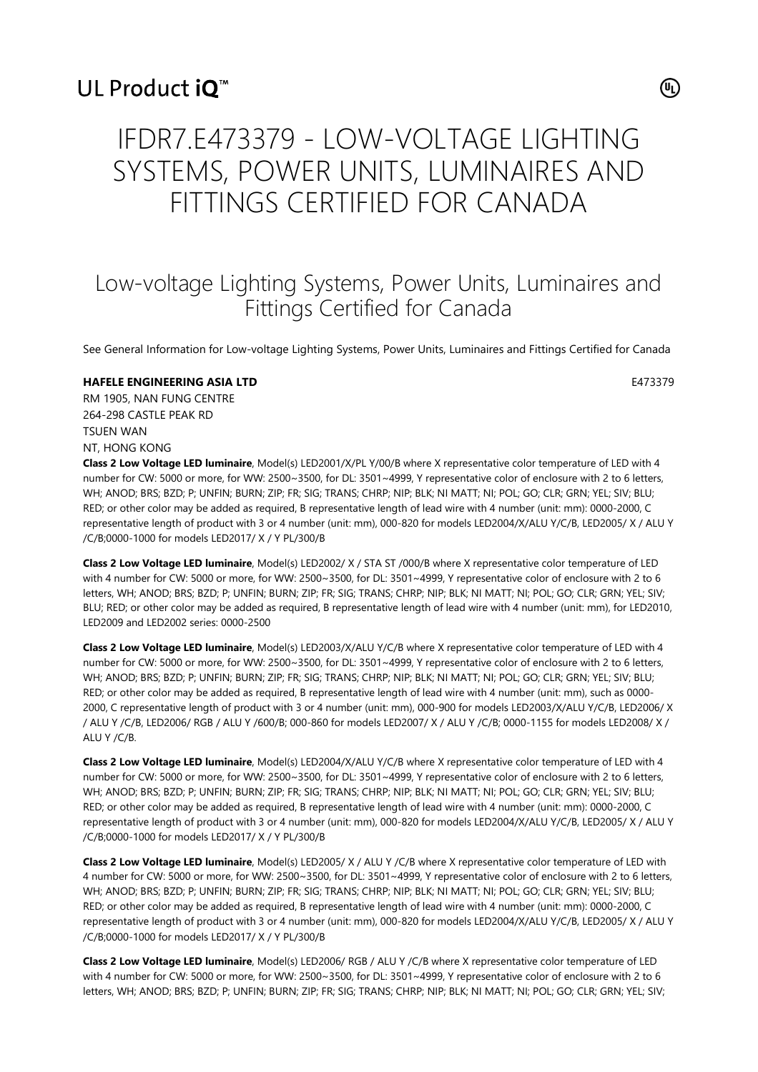# UL Product iO<sup>™</sup>

 $(\mathsf{u}_\mathsf{L})$ 

# IFDR7.E473379 - LOW-VOLTAGE LIGHTING SYSTEMS, POWER UNITS, LUMINAIRES AND FITTINGS CERTIFIED FOR CANADA

# Low-voltage Lighting Systems, Power Units, Luminaires and Fittings Certified for Canada

See General Information for Low-voltage Lighting Systems, Power Units, Luminaires and Fittings Certified for Canada

# **HAFELE ENGINEERING ASIA LTD E473379**

RM 1905, NAN FUNG CENTRE 264-298 CASTLE PEAK RD TSUEN WAN NT, HONG KONG

**Class 2 Low Voltage LED luminaire**, Model(s) LED2001/X/PL Y/00/B where X representative color temperature of LED with 4 number for CW: 5000 or more, for WW: 2500~3500, for DL: 3501~4999, Y representative color of enclosure with 2 to 6 letters, WH; ANOD; BRS; BZD; P; UNFIN; BURN; ZIP; FR; SIG; TRANS; CHRP; NIP; BLK; NI MATT; NI; POL; GO; CLR; GRN; YEL; SIV; BLU; RED; or other color may be added as required, B representative length of lead wire with 4 number (unit: mm): 0000-2000, C representative length of product with 3 or 4 number (unit: mm), 000-820 for models LED2004/X/ALU Y/C/B, LED2005/ X / ALU Y /C/B;0000-1000 for models LED2017/ X / Y PL/300/B

**Class 2 Low Voltage LED luminaire**, Model(s) LED2002/ X / STA ST /000/B where X representative color temperature of LED with 4 number for CW: 5000 or more, for WW: 2500~3500, for DL: 3501~4999, Y representative color of enclosure with 2 to 6 letters, WH; ANOD; BRS; BZD; P; UNFIN; BURN; ZIP; FR; SIG; TRANS; CHRP; NIP; BLK; NI MATT; NI; POL; GO; CLR; GRN; YEL; SIV; BLU; RED; or other color may be added as required, B representative length of lead wire with 4 number (unit: mm), for LED2010, LED2009 and LED2002 series: 0000-2500

**Class 2 Low Voltage LED luminaire**, Model(s) LED2003/X/ALU Y/C/B where X representative color temperature of LED with 4 number for CW: 5000 or more, for WW: 2500~3500, for DL: 3501~4999, Y representative color of enclosure with 2 to 6 letters, WH; ANOD; BRS; BZD; P; UNFIN; BURN; ZIP; FR; SIG; TRANS; CHRP; NIP; BLK; NI MATT; NI; POL; GO; CLR; GRN; YEL; SIV; BLU; RED; or other color may be added as required, B representative length of lead wire with 4 number (unit: mm), such as 0000- 2000, C representative length of product with 3 or 4 number (unit: mm), 000-900 for models LED2003/X/ALU Y/C/B, LED2006/ X / ALU Y /C/B, LED2006/ RGB / ALU Y /600/B; 000-860 for models LED2007/ X / ALU Y /C/B; 0000-1155 for models LED2008/ X / ALU Y /C/B.

**Class 2 Low Voltage LED luminaire**, Model(s) LED2004/X/ALU Y/C/B where X representative color temperature of LED with 4 number for CW: 5000 or more, for WW: 2500~3500, for DL: 3501~4999, Y representative color of enclosure with 2 to 6 letters, WH; ANOD; BRS; BZD; P; UNFIN; BURN; ZIP; FR; SIG; TRANS; CHRP; NIP; BLK; NI MATT; NI; POL; GO; CLR; GRN; YEL; SIV; BLU; RED; or other color may be added as required, B representative length of lead wire with 4 number (unit: mm): 0000-2000, C representative length of product with 3 or 4 number (unit: mm), 000-820 for models LED2004/X/ALU Y/C/B, LED2005/ X / ALU Y /C/B;0000-1000 for models LED2017/ X / Y PL/300/B

**Class 2 Low Voltage LED luminaire**, Model(s) LED2005/ X / ALU Y /C/B where X representative color temperature of LED with 4 number for CW: 5000 or more, for WW: 2500~3500, for DL: 3501~4999, Y representative color of enclosure with 2 to 6 letters, WH; ANOD; BRS; BZD; P; UNFIN; BURN; ZIP; FR; SIG; TRANS; CHRP; NIP; BLK; NI MATT; NI; POL; GO; CLR; GRN; YEL; SIV; BLU; RED; or other color may be added as required, B representative length of lead wire with 4 number (unit: mm): 0000-2000, C representative length of product with 3 or 4 number (unit: mm), 000-820 for models LED2004/X/ALU Y/C/B, LED2005/ X / ALU Y /C/B;0000-1000 for models LED2017/ X / Y PL/300/B

**Class 2 Low Voltage LED luminaire**, Model(s) LED2006/ RGB / ALU Y /C/B where X representative color temperature of LED with 4 number for CW: 5000 or more, for WW: 2500~3500, for DL: 3501~4999, Y representative color of enclosure with 2 to 6 letters, WH; ANOD; BRS; BZD; P; UNFIN; BURN; ZIP; FR; SIG; TRANS; CHRP; NIP; BLK; NI MATT; NI; POL; GO; CLR; GRN; YEL; SIV;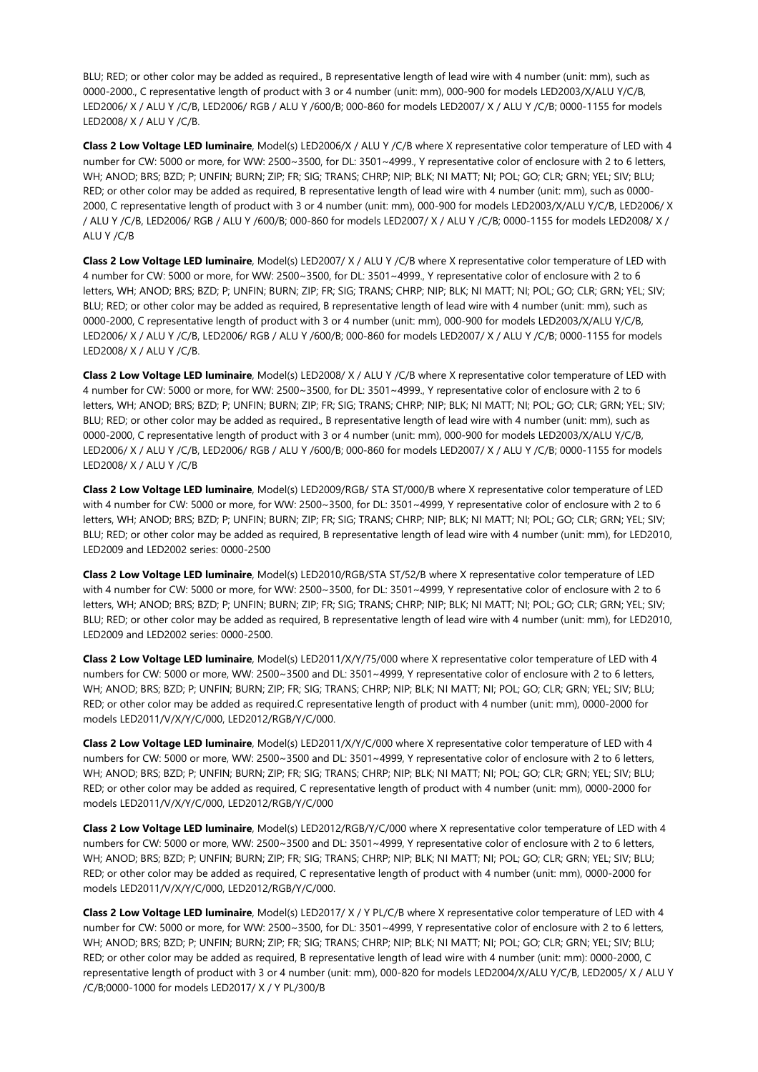BLU; RED; or other color may be added as required., B representative length of lead wire with 4 number (unit: mm), such as 0000-2000., C representative length of product with 3 or 4 number (unit: mm), 000-900 for models LED2003/X/ALU Y/C/B, LED2006/ X / ALU Y /C/B, LED2006/ RGB / ALU Y /600/B; 000-860 for models LED2007/ X / ALU Y /C/B; 0000-1155 for models LED2008/ X / ALU Y /C/B.

**Class 2 Low Voltage LED luminaire**, Model(s) LED2006/X / ALU Y /C/B where X representative color temperature of LED with 4 number for CW: 5000 or more, for WW: 2500~3500, for DL: 3501~4999., Y representative color of enclosure with 2 to 6 letters, WH; ANOD; BRS; BZD; P; UNFIN; BURN; ZIP; FR; SIG; TRANS; CHRP; NIP; BLK; NI MATT; NI; POL; GO; CLR; GRN; YEL; SIV; BLU; RED; or other color may be added as required, B representative length of lead wire with 4 number (unit: mm), such as 0000- 2000, C representative length of product with 3 or 4 number (unit: mm), 000-900 for models LED2003/X/ALU Y/C/B, LED2006/ X / ALU Y /C/B, LED2006/ RGB / ALU Y /600/B; 000-860 for models LED2007/ X / ALU Y /C/B; 0000-1155 for models LED2008/ X / ALU Y /C/B

**Class 2 Low Voltage LED luminaire**, Model(s) LED2007/ X / ALU Y /C/B where X representative color temperature of LED with 4 number for CW: 5000 or more, for WW: 2500~3500, for DL: 3501~4999., Y representative color of enclosure with 2 to 6 letters, WH; ANOD; BRS; BZD; P; UNFIN; BURN; ZIP; FR; SIG; TRANS; CHRP; NIP; BLK; NI MATT; NI; POL; GO; CLR; GRN; YEL; SIV; BLU; RED; or other color may be added as required, B representative length of lead wire with 4 number (unit: mm), such as 0000-2000, C representative length of product with 3 or 4 number (unit: mm), 000-900 for models LED2003/X/ALU Y/C/B, LED2006/ X / ALU Y /C/B, LED2006/ RGB / ALU Y /600/B; 000-860 for models LED2007/ X / ALU Y /C/B; 0000-1155 for models LED2008/ X / ALU Y /C/B.

**Class 2 Low Voltage LED luminaire**, Model(s) LED2008/ X / ALU Y /C/B where X representative color temperature of LED with 4 number for CW: 5000 or more, for WW: 2500~3500, for DL: 3501~4999., Y representative color of enclosure with 2 to 6 letters, WH; ANOD; BRS; BZD; P; UNFIN; BURN; ZIP; FR; SIG; TRANS; CHRP; NIP; BLK; NI MATT; NI; POL; GO; CLR; GRN; YEL; SIV; BLU; RED; or other color may be added as required., B representative length of lead wire with 4 number (unit: mm), such as 0000-2000, C representative length of product with 3 or 4 number (unit: mm), 000-900 for models LED2003/X/ALU Y/C/B, LED2006/ X / ALU Y /C/B, LED2006/ RGB / ALU Y /600/B; 000-860 for models LED2007/ X / ALU Y /C/B; 0000-1155 for models LED2008/ X / ALU Y /C/B

**Class 2 Low Voltage LED luminaire**, Model(s) LED2009/RGB/ STA ST/000/B where X representative color temperature of LED with 4 number for CW: 5000 or more, for WW: 2500~3500, for DL: 3501~4999, Y representative color of enclosure with 2 to 6 letters, WH; ANOD; BRS; BZD; P; UNFIN; BURN; ZIP; FR; SIG; TRANS; CHRP; NIP; BLK; NI MATT; NI; POL; GO; CLR; GRN; YEL; SIV; BLU; RED; or other color may be added as required, B representative length of lead wire with 4 number (unit: mm), for LED2010, LED2009 and LED2002 series: 0000-2500

**Class 2 Low Voltage LED luminaire**, Model(s) LED2010/RGB/STA ST/52/B where X representative color temperature of LED with 4 number for CW: 5000 or more, for WW: 2500~3500, for DL: 3501~4999, Y representative color of enclosure with 2 to 6 letters, WH; ANOD; BRS; BZD; P; UNFIN; BURN; ZIP; FR; SIG; TRANS; CHRP; NIP; BLK; NI MATT; NI; POL; GO; CLR; GRN; YEL; SIV; BLU; RED; or other color may be added as required, B representative length of lead wire with 4 number (unit: mm), for LED2010, LED2009 and LED2002 series: 0000-2500.

**Class 2 Low Voltage LED luminaire**, Model(s) LED2011/X/Y/75/000 where X representative color temperature of LED with 4 numbers for CW: 5000 or more, WW: 2500~3500 and DL: 3501~4999, Y representative color of enclosure with 2 to 6 letters, WH; ANOD; BRS; BZD; P; UNFIN; BURN; ZIP; FR; SIG; TRANS; CHRP; NIP; BLK; NI MATT; NI; POL; GO; CLR; GRN; YEL; SIV; BLU; RED; or other color may be added as required.C representative length of product with 4 number (unit: mm), 0000-2000 for models LED2011/V/X/Y/C/000, LED2012/RGB/Y/C/000.

**Class 2 Low Voltage LED luminaire**, Model(s) LED2011/X/Y/C/000 where X representative color temperature of LED with 4 numbers for CW: 5000 or more, WW: 2500~3500 and DL: 3501~4999, Y representative color of enclosure with 2 to 6 letters, WH; ANOD; BRS; BZD; P; UNFIN; BURN; ZIP; FR; SIG; TRANS; CHRP; NIP; BLK; NI MATT; NI; POL; GO; CLR; GRN; YEL; SIV; BLU; RED; or other color may be added as required, C representative length of product with 4 number (unit: mm), 0000-2000 for models LED2011/V/X/Y/C/000, LED2012/RGB/Y/C/000

**Class 2 Low Voltage LED luminaire**, Model(s) LED2012/RGB/Y/C/000 where X representative color temperature of LED with 4 numbers for CW: 5000 or more, WW: 2500~3500 and DL: 3501~4999, Y representative color of enclosure with 2 to 6 letters, WH; ANOD; BRS; BZD; P; UNFIN; BURN; ZIP; FR; SIG; TRANS; CHRP; NIP; BLK; NI MATT; NI; POL; GO; CLR; GRN; YEL; SIV; BLU; RED; or other color may be added as required, C representative length of product with 4 number (unit: mm), 0000-2000 for models LED2011/V/X/Y/C/000, LED2012/RGB/Y/C/000.

**Class 2 Low Voltage LED luminaire**, Model(s) LED2017/ X / Y PL/C/B where X representative color temperature of LED with 4 number for CW: 5000 or more, for WW: 2500~3500, for DL: 3501~4999, Y representative color of enclosure with 2 to 6 letters, WH; ANOD; BRS; BZD; P; UNFIN; BURN; ZIP; FR; SIG; TRANS; CHRP; NIP; BLK; NI MATT; NI; POL; GO; CLR; GRN; YEL; SIV; BLU; RED; or other color may be added as required, B representative length of lead wire with 4 number (unit: mm): 0000-2000, C representative length of product with 3 or 4 number (unit: mm), 000-820 for models LED2004/X/ALU Y/C/B, LED2005/ X / ALU Y /C/B;0000-1000 for models LED2017/ X / Y PL/300/B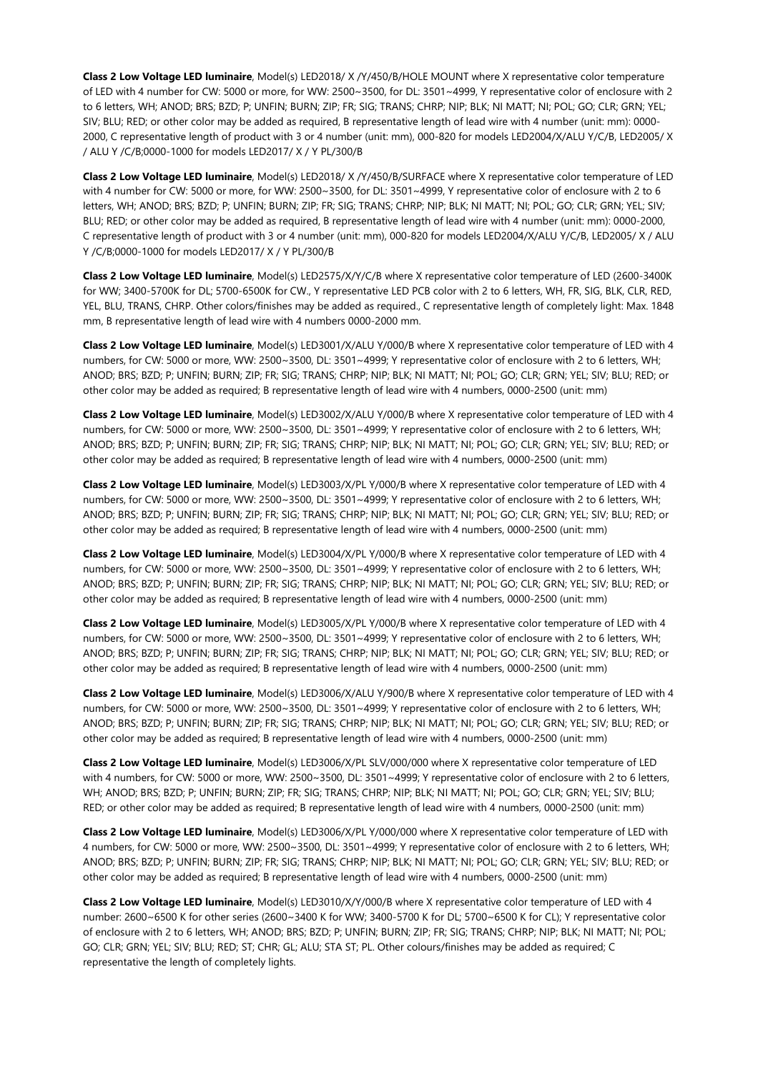**Class 2 Low Voltage LED luminaire**, Model(s) LED2018/ X /Y/450/B/HOLE MOUNT where X representative color temperature of LED with 4 number for CW: 5000 or more, for WW: 2500~3500, for DL: 3501~4999, Y representative color of enclosure with 2 to 6 letters, WH; ANOD; BRS; BZD; P; UNFIN; BURN; ZIP; FR; SIG; TRANS; CHRP; NIP; BLK; NI MATT; NI; POL; GO; CLR; GRN; YEL; SIV; BLU; RED; or other color may be added as required, B representative length of lead wire with 4 number (unit: mm): 0000- 2000, C representative length of product with 3 or 4 number (unit: mm), 000-820 for models LED2004/X/ALU Y/C/B, LED2005/ X / ALU Y /C/B;0000-1000 for models LED2017/ X / Y PL/300/B

**Class 2 Low Voltage LED luminaire**, Model(s) LED2018/ X /Y/450/B/SURFACE where X representative color temperature of LED with 4 number for CW: 5000 or more, for WW: 2500~3500, for DL: 3501~4999, Y representative color of enclosure with 2 to 6 letters, WH; ANOD; BRS; BZD; P; UNFIN; BURN; ZIP; FR; SIG; TRANS; CHRP; NIP; BLK; NI MATT; NI; POL; GO; CLR; GRN; YEL; SIV; BLU; RED; or other color may be added as required, B representative length of lead wire with 4 number (unit: mm): 0000-2000, C representative length of product with 3 or 4 number (unit: mm), 000-820 for models LED2004/X/ALU Y/C/B, LED2005/ X / ALU Y /C/B;0000-1000 for models LED2017/ X / Y PL/300/B

**Class 2 Low Voltage LED luminaire**, Model(s) LED2575/X/Y/C/B where X representative color temperature of LED (2600-3400K for WW; 3400-5700K for DL; 5700-6500K for CW., Y representative LED PCB color with 2 to 6 letters, WH, FR, SIG, BLK, CLR, RED, YEL, BLU, TRANS, CHRP. Other colors/finishes may be added as required., C representative length of completely light: Max. 1848 mm, B representative length of lead wire with 4 numbers 0000-2000 mm.

**Class 2 Low Voltage LED luminaire**, Model(s) LED3001/X/ALU Y/000/B where X representative color temperature of LED with 4 numbers, for CW: 5000 or more, WW: 2500~3500, DL: 3501~4999; Y representative color of enclosure with 2 to 6 letters, WH; ANOD; BRS; BZD; P; UNFIN; BURN; ZIP; FR; SIG; TRANS; CHRP; NIP; BLK; NI MATT; NI; POL; GO; CLR; GRN; YEL; SIV; BLU; RED; or other color may be added as required; B representative length of lead wire with 4 numbers, 0000-2500 (unit: mm)

**Class 2 Low Voltage LED luminaire**, Model(s) LED3002/X/ALU Y/000/B where X representative color temperature of LED with 4 numbers, for CW: 5000 or more, WW: 2500~3500, DL: 3501~4999; Y representative color of enclosure with 2 to 6 letters, WH; ANOD; BRS; BZD; P; UNFIN; BURN; ZIP; FR; SIG; TRANS; CHRP; NIP; BLK; NI MATT; NI; POL; GO; CLR; GRN; YEL; SIV; BLU; RED; or other color may be added as required; B representative length of lead wire with 4 numbers, 0000-2500 (unit: mm)

**Class 2 Low Voltage LED luminaire**, Model(s) LED3003/X/PL Y/000/B where X representative color temperature of LED with 4 numbers, for CW: 5000 or more, WW: 2500~3500, DL: 3501~4999; Y representative color of enclosure with 2 to 6 letters, WH; ANOD; BRS; BZD; P; UNFIN; BURN; ZIP; FR; SIG; TRANS; CHRP; NIP; BLK; NI MATT; NI; POL; GO; CLR; GRN; YEL; SIV; BLU; RED; or other color may be added as required; B representative length of lead wire with 4 numbers, 0000-2500 (unit: mm)

**Class 2 Low Voltage LED luminaire**, Model(s) LED3004/X/PL Y/000/B where X representative color temperature of LED with 4 numbers, for CW: 5000 or more, WW: 2500~3500, DL: 3501~4999; Y representative color of enclosure with 2 to 6 letters, WH; ANOD; BRS; BZD; P; UNFIN; BURN; ZIP; FR; SIG; TRANS; CHRP; NIP; BLK; NI MATT; NI; POL; GO; CLR; GRN; YEL; SIV; BLU; RED; or other color may be added as required; B representative length of lead wire with 4 numbers, 0000-2500 (unit: mm)

**Class 2 Low Voltage LED luminaire**, Model(s) LED3005/X/PL Y/000/B where X representative color temperature of LED with 4 numbers, for CW: 5000 or more, WW: 2500~3500, DL: 3501~4999; Y representative color of enclosure with 2 to 6 letters, WH; ANOD; BRS; BZD; P; UNFIN; BURN; ZIP; FR; SIG; TRANS; CHRP; NIP; BLK; NI MATT; NI; POL; GO; CLR; GRN; YEL; SIV; BLU; RED; or other color may be added as required; B representative length of lead wire with 4 numbers, 0000-2500 (unit: mm)

**Class 2 Low Voltage LED luminaire**, Model(s) LED3006/X/ALU Y/900/B where X representative color temperature of LED with 4 numbers, for CW: 5000 or more, WW: 2500~3500, DL: 3501~4999; Y representative color of enclosure with 2 to 6 letters, WH; ANOD; BRS; BZD; P; UNFIN; BURN; ZIP; FR; SIG; TRANS; CHRP; NIP; BLK; NI MATT; NI; POL; GO; CLR; GRN; YEL; SIV; BLU; RED; or other color may be added as required; B representative length of lead wire with 4 numbers, 0000-2500 (unit: mm)

**Class 2 Low Voltage LED luminaire**, Model(s) LED3006/X/PL SLV/000/000 where X representative color temperature of LED with 4 numbers, for CW: 5000 or more, WW: 2500~3500, DL: 3501~4999; Y representative color of enclosure with 2 to 6 letters, WH; ANOD; BRS; BZD; P; UNFIN; BURN; ZIP; FR; SIG; TRANS; CHRP; NIP; BLK; NI MATT; NI; POL; GO; CLR; GRN; YEL; SIV; BLU; RED; or other color may be added as required; B representative length of lead wire with 4 numbers, 0000-2500 (unit: mm)

**Class 2 Low Voltage LED luminaire**, Model(s) LED3006/X/PL Y/000/000 where X representative color temperature of LED with 4 numbers, for CW: 5000 or more, WW: 2500~3500, DL: 3501~4999; Y representative color of enclosure with 2 to 6 letters, WH; ANOD; BRS; BZD; P; UNFIN; BURN; ZIP; FR; SIG; TRANS; CHRP; NIP; BLK; NI MATT; NI; POL; GO; CLR; GRN; YEL; SIV; BLU; RED; or other color may be added as required; B representative length of lead wire with 4 numbers, 0000-2500 (unit: mm)

**Class 2 Low Voltage LED luminaire**, Model(s) LED3010/X/Y/000/B where X representative color temperature of LED with 4 number: 2600~6500 K for other series (2600~3400 K for WW; 3400-5700 K for DL; 5700~6500 K for CL); Y representative color of enclosure with 2 to 6 letters, WH; ANOD; BRS; BZD; P; UNFIN; BURN; ZIP; FR; SIG; TRANS; CHRP; NIP; BLK; NI MATT; NI; POL; GO; CLR; GRN; YEL; SIV; BLU; RED; ST; CHR; GL; ALU; STA ST; PL. Other colours/finishes may be added as required; C representative the length of completely lights.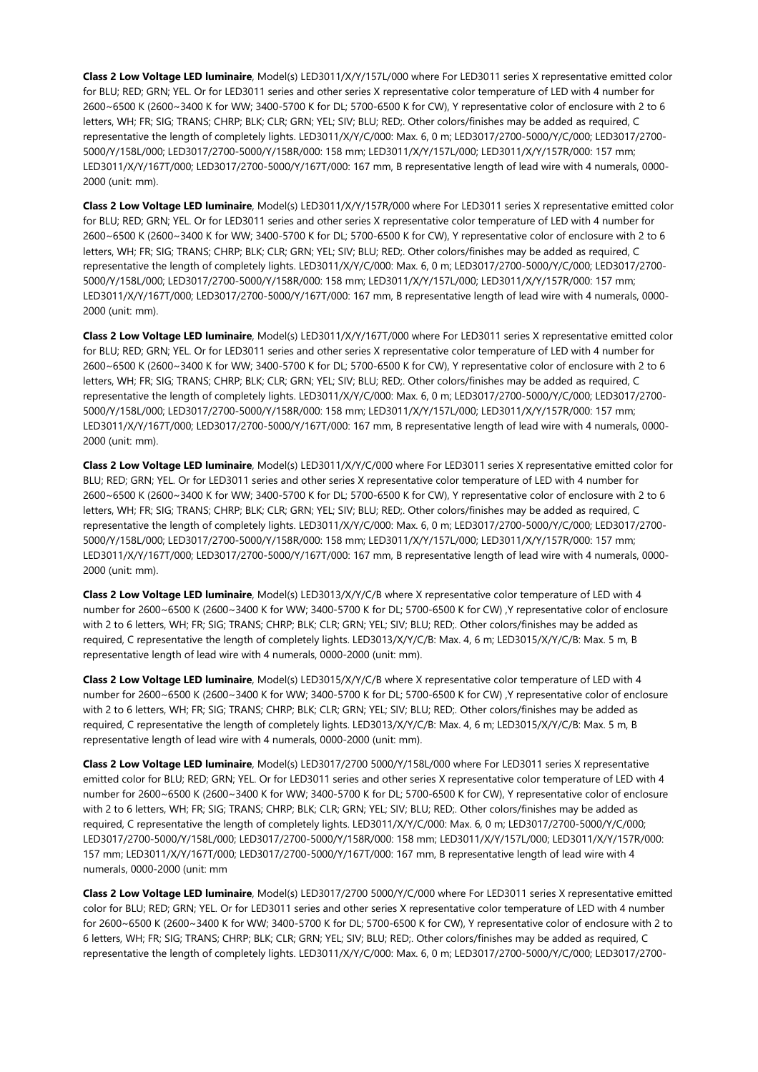**Class 2 Low Voltage LED luminaire**, Model(s) LED3011/X/Y/157L/000 where For LED3011 series X representative emitted color for BLU; RED; GRN; YEL. Or for LED3011 series and other series X representative color temperature of LED with 4 number for 2600~6500 K (2600~3400 K for WW; 3400-5700 K for DL; 5700-6500 K for CW), Y representative color of enclosure with 2 to 6 letters, WH; FR; SIG; TRANS; CHRP; BLK; CLR; GRN; YEL; SIV; BLU; RED;. Other colors/finishes may be added as required, C representative the length of completely lights. LED3011/X/Y/C/000: Max. 6, 0 m; LED3017/2700-5000/Y/C/000; LED3017/2700- 5000/Y/158L/000; LED3017/2700-5000/Y/158R/000: 158 mm; LED3011/X/Y/157L/000; LED3011/X/Y/157R/000: 157 mm; LED3011/X/Y/167T/000; LED3017/2700-5000/Y/167T/000: 167 mm, B representative length of lead wire with 4 numerals, 0000- 2000 (unit: mm).

**Class 2 Low Voltage LED luminaire**, Model(s) LED3011/X/Y/157R/000 where For LED3011 series X representative emitted color for BLU; RED; GRN; YEL. Or for LED3011 series and other series X representative color temperature of LED with 4 number for 2600~6500 K (2600~3400 K for WW; 3400-5700 K for DL; 5700-6500 K for CW), Y representative color of enclosure with 2 to 6 letters, WH; FR; SIG; TRANS; CHRP; BLK; CLR; GRN; YEL; SIV; BLU; RED;. Other colors/finishes may be added as required, C representative the length of completely lights. LED3011/X/Y/C/000: Max. 6, 0 m; LED3017/2700-5000/Y/C/000; LED3017/2700- 5000/Y/158L/000; LED3017/2700-5000/Y/158R/000: 158 mm; LED3011/X/Y/157L/000; LED3011/X/Y/157R/000: 157 mm; LED3011/X/Y/167T/000; LED3017/2700-5000/Y/167T/000: 167 mm, B representative length of lead wire with 4 numerals, 0000- 2000 (unit: mm).

**Class 2 Low Voltage LED luminaire**, Model(s) LED3011/X/Y/167T/000 where For LED3011 series X representative emitted color for BLU; RED; GRN; YEL. Or for LED3011 series and other series X representative color temperature of LED with 4 number for 2600~6500 K (2600~3400 K for WW; 3400-5700 K for DL; 5700-6500 K for CW), Y representative color of enclosure with 2 to 6 letters, WH; FR; SIG; TRANS; CHRP; BLK; CLR; GRN; YEL; SIV; BLU; RED;. Other colors/finishes may be added as required, C representative the length of completely lights. LED3011/X/Y/C/000: Max. 6, 0 m; LED3017/2700-5000/Y/C/000; LED3017/2700- 5000/Y/158L/000; LED3017/2700-5000/Y/158R/000: 158 mm; LED3011/X/Y/157L/000; LED3011/X/Y/157R/000: 157 mm; LED3011/X/Y/167T/000; LED3017/2700-5000/Y/167T/000: 167 mm, B representative length of lead wire with 4 numerals, 0000- 2000 (unit: mm).

**Class 2 Low Voltage LED luminaire**, Model(s) LED3011/X/Y/C/000 where For LED3011 series X representative emitted color for BLU; RED; GRN; YEL. Or for LED3011 series and other series X representative color temperature of LED with 4 number for 2600~6500 K (2600~3400 K for WW; 3400-5700 K for DL; 5700-6500 K for CW), Y representative color of enclosure with 2 to 6 letters, WH; FR; SIG; TRANS; CHRP; BLK; CLR; GRN; YEL; SIV; BLU; RED;. Other colors/finishes may be added as required, C representative the length of completely lights. LED3011/X/Y/C/000: Max. 6, 0 m; LED3017/2700-5000/Y/C/000; LED3017/2700- 5000/Y/158L/000; LED3017/2700-5000/Y/158R/000: 158 mm; LED3011/X/Y/157L/000; LED3011/X/Y/157R/000: 157 mm; LED3011/X/Y/167T/000; LED3017/2700-5000/Y/167T/000: 167 mm, B representative length of lead wire with 4 numerals, 0000- 2000 (unit: mm).

**Class 2 Low Voltage LED luminaire**, Model(s) LED3013/X/Y/C/B where X representative color temperature of LED with 4 number for 2600~6500 K (2600~3400 K for WW; 3400-5700 K for DL; 5700-6500 K for CW) ,Y representative color of enclosure with 2 to 6 letters, WH; FR; SIG; TRANS; CHRP; BLK; CLR; GRN; YEL; SIV; BLU; RED;. Other colors/finishes may be added as required, C representative the length of completely lights. LED3013/X/Y/C/B: Max. 4, 6 m; LED3015/X/Y/C/B: Max. 5 m, B representative length of lead wire with 4 numerals, 0000-2000 (unit: mm).

**Class 2 Low Voltage LED luminaire**, Model(s) LED3015/X/Y/C/B where X representative color temperature of LED with 4 number for 2600~6500 K (2600~3400 K for WW; 3400-5700 K for DL; 5700-6500 K for CW) ,Y representative color of enclosure with 2 to 6 letters, WH; FR; SIG; TRANS; CHRP; BLK; CLR; GRN; YEL; SIV; BLU; RED;. Other colors/finishes may be added as required, C representative the length of completely lights. LED3013/X/Y/C/B: Max. 4, 6 m; LED3015/X/Y/C/B: Max. 5 m, B representative length of lead wire with 4 numerals, 0000-2000 (unit: mm).

**Class 2 Low Voltage LED luminaire**, Model(s) LED3017/2700 5000/Y/158L/000 where For LED3011 series X representative emitted color for BLU; RED; GRN; YEL. Or for LED3011 series and other series X representative color temperature of LED with 4 number for 2600~6500 K (2600~3400 K for WW; 3400-5700 K for DL; 5700-6500 K for CW), Y representative color of enclosure with 2 to 6 letters, WH; FR; SIG; TRANS; CHRP; BLK; CLR; GRN; YEL; SIV; BLU; RED;. Other colors/finishes may be added as required, C representative the length of completely lights. LED3011/X/Y/C/000: Max. 6, 0 m; LED3017/2700-5000/Y/C/000; LED3017/2700-5000/Y/158L/000; LED3017/2700-5000/Y/158R/000: 158 mm; LED3011/X/Y/157L/000; LED3011/X/Y/157R/000: 157 mm; LED3011/X/Y/167T/000; LED3017/2700-5000/Y/167T/000: 167 mm, B representative length of lead wire with 4 numerals, 0000-2000 (unit: mm

**Class 2 Low Voltage LED luminaire**, Model(s) LED3017/2700 5000/Y/C/000 where For LED3011 series X representative emitted color for BLU; RED; GRN; YEL. Or for LED3011 series and other series X representative color temperature of LED with 4 number for 2600~6500 K (2600~3400 K for WW; 3400-5700 K for DL; 5700-6500 K for CW), Y representative color of enclosure with 2 to 6 letters, WH; FR; SIG; TRANS; CHRP; BLK; CLR; GRN; YEL; SIV; BLU; RED;. Other colors/finishes may be added as required, C representative the length of completely lights. LED3011/X/Y/C/000: Max. 6, 0 m; LED3017/2700-5000/Y/C/000; LED3017/2700-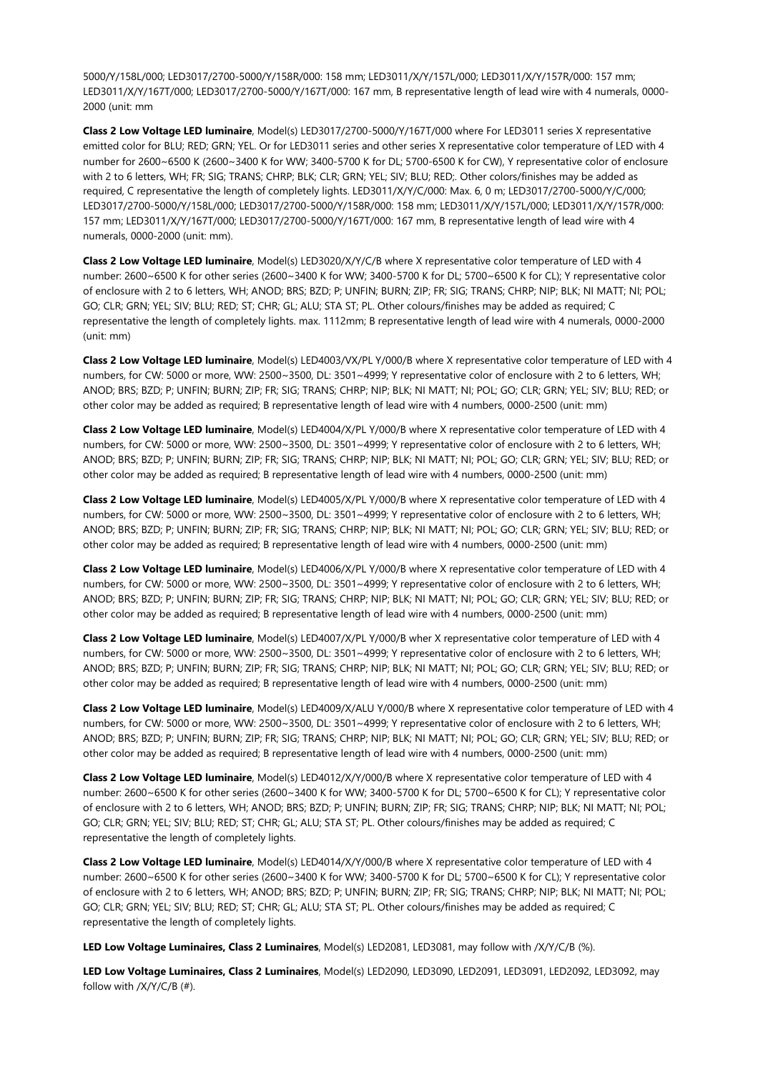5000/Y/158L/000; LED3017/2700-5000/Y/158R/000: 158 mm; LED3011/X/Y/157L/000; LED3011/X/Y/157R/000: 157 mm; LED3011/X/Y/167T/000; LED3017/2700-5000/Y/167T/000: 167 mm, B representative length of lead wire with 4 numerals, 0000- 2000 (unit: mm

**Class 2 Low Voltage LED luminaire**, Model(s) LED3017/2700-5000/Y/167T/000 where For LED3011 series X representative emitted color for BLU; RED; GRN; YEL. Or for LED3011 series and other series X representative color temperature of LED with 4 number for 2600~6500 K (2600~3400 K for WW; 3400-5700 K for DL; 5700-6500 K for CW), Y representative color of enclosure with 2 to 6 letters, WH; FR; SIG; TRANS; CHRP; BLK; CLR; GRN; YEL; SIV; BLU; RED;. Other colors/finishes may be added as required, C representative the length of completely lights. LED3011/X/Y/C/000: Max. 6, 0 m; LED3017/2700-5000/Y/C/000; LED3017/2700-5000/Y/158L/000; LED3017/2700-5000/Y/158R/000: 158 mm; LED3011/X/Y/157L/000; LED3011/X/Y/157R/000: 157 mm; LED3011/X/Y/167T/000; LED3017/2700-5000/Y/167T/000: 167 mm, B representative length of lead wire with 4 numerals, 0000-2000 (unit: mm).

**Class 2 Low Voltage LED luminaire**, Model(s) LED3020/X/Y/C/B where X representative color temperature of LED with 4 number: 2600~6500 K for other series (2600~3400 K for WW; 3400-5700 K for DL; 5700~6500 K for CL); Y representative color of enclosure with 2 to 6 letters, WH; ANOD; BRS; BZD; P; UNFIN; BURN; ZIP; FR; SIG; TRANS; CHRP; NIP; BLK; NI MATT; NI; POL; GO; CLR; GRN; YEL; SIV; BLU; RED; ST; CHR; GL; ALU; STA ST; PL. Other colours/finishes may be added as required; C representative the length of completely lights. max. 1112mm; B representative length of lead wire with 4 numerals, 0000-2000 (unit: mm)

**Class 2 Low Voltage LED luminaire**, Model(s) LED4003/VX/PL Y/000/B where X representative color temperature of LED with 4 numbers, for CW: 5000 or more, WW: 2500~3500, DL: 3501~4999; Y representative color of enclosure with 2 to 6 letters, WH; ANOD; BRS; BZD; P; UNFIN; BURN; ZIP; FR; SIG; TRANS; CHRP; NIP; BLK; NI MATT; NI; POL; GO; CLR; GRN; YEL; SIV; BLU; RED; or other color may be added as required; B representative length of lead wire with 4 numbers, 0000-2500 (unit: mm)

**Class 2 Low Voltage LED luminaire**, Model(s) LED4004/X/PL Y/000/B where X representative color temperature of LED with 4 numbers, for CW: 5000 or more, WW: 2500~3500, DL: 3501~4999; Y representative color of enclosure with 2 to 6 letters, WH; ANOD; BRS; BZD; P; UNFIN; BURN; ZIP; FR; SIG; TRANS; CHRP; NIP; BLK; NI MATT; NI; POL; GO; CLR; GRN; YEL; SIV; BLU; RED; or other color may be added as required; B representative length of lead wire with 4 numbers, 0000-2500 (unit: mm)

**Class 2 Low Voltage LED luminaire**, Model(s) LED4005/X/PL Y/000/B where X representative color temperature of LED with 4 numbers, for CW: 5000 or more, WW: 2500~3500, DL: 3501~4999; Y representative color of enclosure with 2 to 6 letters, WH; ANOD; BRS; BZD; P; UNFIN; BURN; ZIP; FR; SIG; TRANS; CHRP; NIP; BLK; NI MATT; NI; POL; GO; CLR; GRN; YEL; SIV; BLU; RED; or other color may be added as required; B representative length of lead wire with 4 numbers, 0000-2500 (unit: mm)

**Class 2 Low Voltage LED luminaire**, Model(s) LED4006/X/PL Y/000/B where X representative color temperature of LED with 4 numbers, for CW: 5000 or more, WW: 2500~3500, DL: 3501~4999; Y representative color of enclosure with 2 to 6 letters, WH; ANOD; BRS; BZD; P; UNFIN; BURN; ZIP; FR; SIG; TRANS; CHRP; NIP; BLK; NI MATT; NI; POL; GO; CLR; GRN; YEL; SIV; BLU; RED; or other color may be added as required; B representative length of lead wire with 4 numbers, 0000-2500 (unit: mm)

**Class 2 Low Voltage LED luminaire**, Model(s) LED4007/X/PL Y/000/B wher X representative color temperature of LED with 4 numbers, for CW: 5000 or more, WW: 2500~3500, DL: 3501~4999; Y representative color of enclosure with 2 to 6 letters, WH; ANOD; BRS; BZD; P; UNFIN; BURN; ZIP; FR; SIG; TRANS; CHRP; NIP; BLK; NI MATT; NI; POL; GO; CLR; GRN; YEL; SIV; BLU; RED; or other color may be added as required; B representative length of lead wire with 4 numbers, 0000-2500 (unit: mm)

**Class 2 Low Voltage LED luminaire**, Model(s) LED4009/X/ALU Y/000/B where X representative color temperature of LED with 4 numbers, for CW: 5000 or more, WW: 2500~3500, DL: 3501~4999; Y representative color of enclosure with 2 to 6 letters, WH; ANOD; BRS; BZD; P; UNFIN; BURN; ZIP; FR; SIG; TRANS; CHRP; NIP; BLK; NI MATT; NI; POL; GO; CLR; GRN; YEL; SIV; BLU; RED; or other color may be added as required; B representative length of lead wire with 4 numbers, 0000-2500 (unit: mm)

**Class 2 Low Voltage LED luminaire**, Model(s) LED4012/X/Y/000/B where X representative color temperature of LED with 4 number: 2600~6500 K for other series (2600~3400 K for WW; 3400-5700 K for DL; 5700~6500 K for CL); Y representative color of enclosure with 2 to 6 letters, WH; ANOD; BRS; BZD; P; UNFIN; BURN; ZIP; FR; SIG; TRANS; CHRP; NIP; BLK; NI MATT; NI; POL; GO; CLR; GRN; YEL; SIV; BLU; RED; ST; CHR; GL; ALU; STA ST; PL. Other colours/finishes may be added as required; C representative the length of completely lights.

**Class 2 Low Voltage LED luminaire**, Model(s) LED4014/X/Y/000/B where X representative color temperature of LED with 4 number: 2600~6500 K for other series (2600~3400 K for WW; 3400-5700 K for DL; 5700~6500 K for CL); Y representative color of enclosure with 2 to 6 letters, WH; ANOD; BRS; BZD; P; UNFIN; BURN; ZIP; FR; SIG; TRANS; CHRP; NIP; BLK; NI MATT; NI; POL; GO; CLR; GRN; YEL; SIV; BLU; RED; ST; CHR; GL; ALU; STA ST; PL. Other colours/finishes may be added as required; C representative the length of completely lights.

**LED Low Voltage Luminaires, Class 2 Luminaires**, Model(s) LED2081, LED3081, may follow with /X/Y/C/B (%).

**LED Low Voltage Luminaires, Class 2 Luminaires**, Model(s) LED2090, LED3090, LED2091, LED3091, LED2092, LED3092, may follow with /X/Y/C/B (#).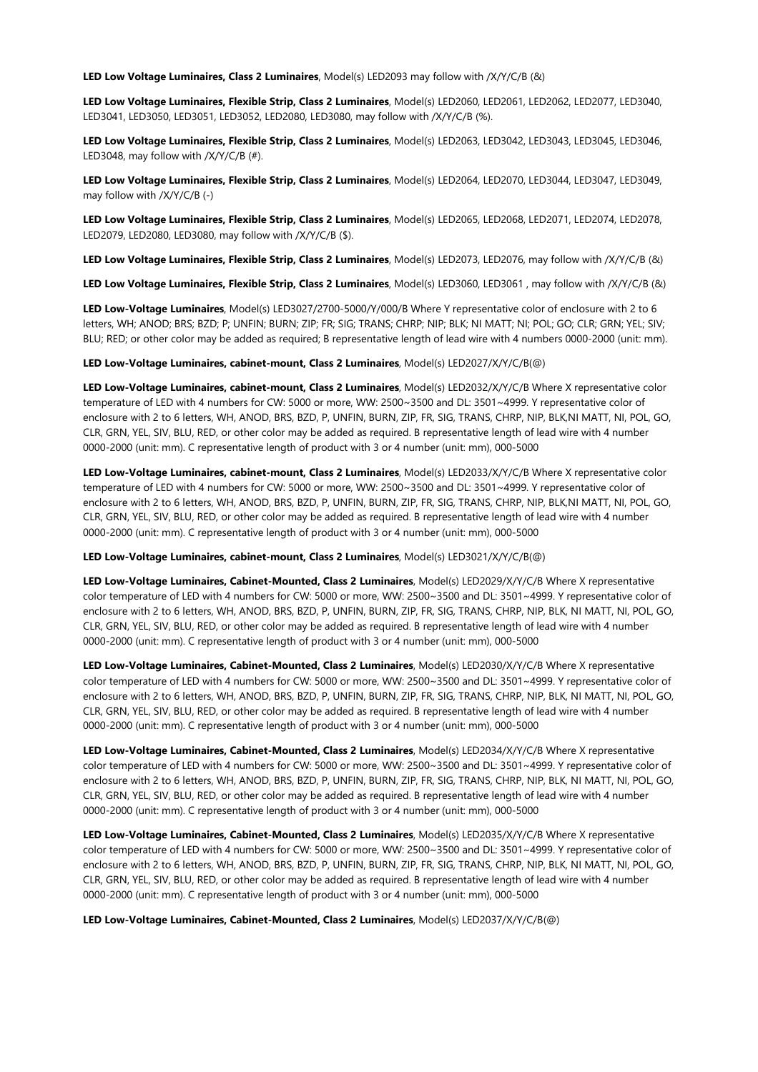**LED Low Voltage Luminaires, Class 2 Luminaires**, Model(s) LED2093 may follow with /X/Y/C/B (&)

**LED Low Voltage Luminaires, Flexible Strip, Class 2 Luminaires**, Model(s) LED2060, LED2061, LED2062, LED2077, LED3040, LED3041, LED3050, LED3051, LED3052, LED2080, LED3080, may follow with /X/Y/C/B (%).

**LED Low Voltage Luminaires, Flexible Strip, Class 2 Luminaires**, Model(s) LED2063, LED3042, LED3043, LED3045, LED3046, LED3048, may follow with /X/Y/C/B (#).

**LED Low Voltage Luminaires, Flexible Strip, Class 2 Luminaires**, Model(s) LED2064, LED2070, LED3044, LED3047, LED3049, may follow with /X/Y/C/B (-)

**LED Low Voltage Luminaires, Flexible Strip, Class 2 Luminaires**, Model(s) LED2065, LED2068, LED2071, LED2074, LED2078, LED2079, LED2080, LED3080, may follow with /X/Y/C/B (\$).

**LED Low Voltage Luminaires, Flexible Strip, Class 2 Luminaires**, Model(s) LED2073, LED2076, may follow with /X/Y/C/B (&)

**LED Low Voltage Luminaires, Flexible Strip, Class 2 Luminaires**, Model(s) LED3060, LED3061 , may follow with /X/Y/C/B (&)

**LED Low-Voltage Luminaires**, Model(s) LED3027/2700-5000/Y/000/B Where Y representative color of enclosure with 2 to 6 letters, WH; ANOD; BRS; BZD; P; UNFIN; BURN; ZIP; FR; SIG; TRANS; CHRP; NIP; BLK; NI MATT; NI; POL; GO; CLR; GRN; YEL; SIV; BLU; RED; or other color may be added as required; B representative length of lead wire with 4 numbers 0000-2000 (unit: mm).

**LED Low-Voltage Luminaires, cabinet-mount, Class 2 Luminaires**, Model(s) LED2027/X/Y/C/B(@)

**LED Low-Voltage Luminaires, cabinet-mount, Class 2 Luminaires**, Model(s) LED2032/X/Y/C/B Where X representative color temperature of LED with 4 numbers for CW: 5000 or more, WW: 2500~3500 and DL: 3501~4999. Y representative color of enclosure with 2 to 6 letters, WH, ANOD, BRS, BZD, P, UNFIN, BURN, ZIP, FR, SIG, TRANS, CHRP, NIP, BLK,NI MATT, NI, POL, GO, CLR, GRN, YEL, SIV, BLU, RED, or other color may be added as required. B representative length of lead wire with 4 number 0000-2000 (unit: mm). C representative length of product with 3 or 4 number (unit: mm), 000-5000

**LED Low-Voltage Luminaires, cabinet-mount, Class 2 Luminaires**, Model(s) LED2033/X/Y/C/B Where X representative color temperature of LED with 4 numbers for CW: 5000 or more, WW: 2500~3500 and DL: 3501~4999. Y representative color of enclosure with 2 to 6 letters, WH, ANOD, BRS, BZD, P, UNFIN, BURN, ZIP, FR, SIG, TRANS, CHRP, NIP, BLK,NI MATT, NI, POL, GO, CLR, GRN, YEL, SIV, BLU, RED, or other color may be added as required. B representative length of lead wire with 4 number 0000-2000 (unit: mm). C representative length of product with 3 or 4 number (unit: mm), 000-5000

**LED Low-Voltage Luminaires, cabinet-mount, Class 2 Luminaires**, Model(s) LED3021/X/Y/C/B(@)

**LED Low-Voltage Luminaires, Cabinet-Mounted, Class 2 Luminaires**, Model(s) LED2029/X/Y/C/B Where X representative color temperature of LED with 4 numbers for CW: 5000 or more, WW: 2500~3500 and DL: 3501~4999. Y representative color of enclosure with 2 to 6 letters, WH, ANOD, BRS, BZD, P, UNFIN, BURN, ZIP, FR, SIG, TRANS, CHRP, NIP, BLK, NI MATT, NI, POL, GO, CLR, GRN, YEL, SIV, BLU, RED, or other color may be added as required. B representative length of lead wire with 4 number 0000-2000 (unit: mm). C representative length of product with 3 or 4 number (unit: mm), 000-5000

**LED Low-Voltage Luminaires, Cabinet-Mounted, Class 2 Luminaires**, Model(s) LED2030/X/Y/C/B Where X representative color temperature of LED with 4 numbers for CW: 5000 or more, WW: 2500~3500 and DL: 3501~4999. Y representative color of enclosure with 2 to 6 letters, WH, ANOD, BRS, BZD, P, UNFIN, BURN, ZIP, FR, SIG, TRANS, CHRP, NIP, BLK, NI MATT, NI, POL, GO, CLR, GRN, YEL, SIV, BLU, RED, or other color may be added as required. B representative length of lead wire with 4 number 0000-2000 (unit: mm). C representative length of product with 3 or 4 number (unit: mm), 000-5000

**LED Low-Voltage Luminaires, Cabinet-Mounted, Class 2 Luminaires**, Model(s) LED2034/X/Y/C/B Where X representative color temperature of LED with 4 numbers for CW: 5000 or more, WW: 2500~3500 and DL: 3501~4999. Y representative color of enclosure with 2 to 6 letters, WH, ANOD, BRS, BZD, P, UNFIN, BURN, ZIP, FR, SIG, TRANS, CHRP, NIP, BLK, NI MATT, NI, POL, GO, CLR, GRN, YEL, SIV, BLU, RED, or other color may be added as required. B representative length of lead wire with 4 number 0000-2000 (unit: mm). C representative length of product with 3 or 4 number (unit: mm), 000-5000

**LED Low-Voltage Luminaires, Cabinet-Mounted, Class 2 Luminaires**, Model(s) LED2035/X/Y/C/B Where X representative color temperature of LED with 4 numbers for CW: 5000 or more, WW: 2500~3500 and DL: 3501~4999. Y representative color of enclosure with 2 to 6 letters, WH, ANOD, BRS, BZD, P, UNFIN, BURN, ZIP, FR, SIG, TRANS, CHRP, NIP, BLK, NI MATT, NI, POL, GO, CLR, GRN, YEL, SIV, BLU, RED, or other color may be added as required. B representative length of lead wire with 4 number 0000-2000 (unit: mm). C representative length of product with 3 or 4 number (unit: mm), 000-5000

**LED Low-Voltage Luminaires, Cabinet-Mounted, Class 2 Luminaires**, Model(s) LED2037/X/Y/C/B(@)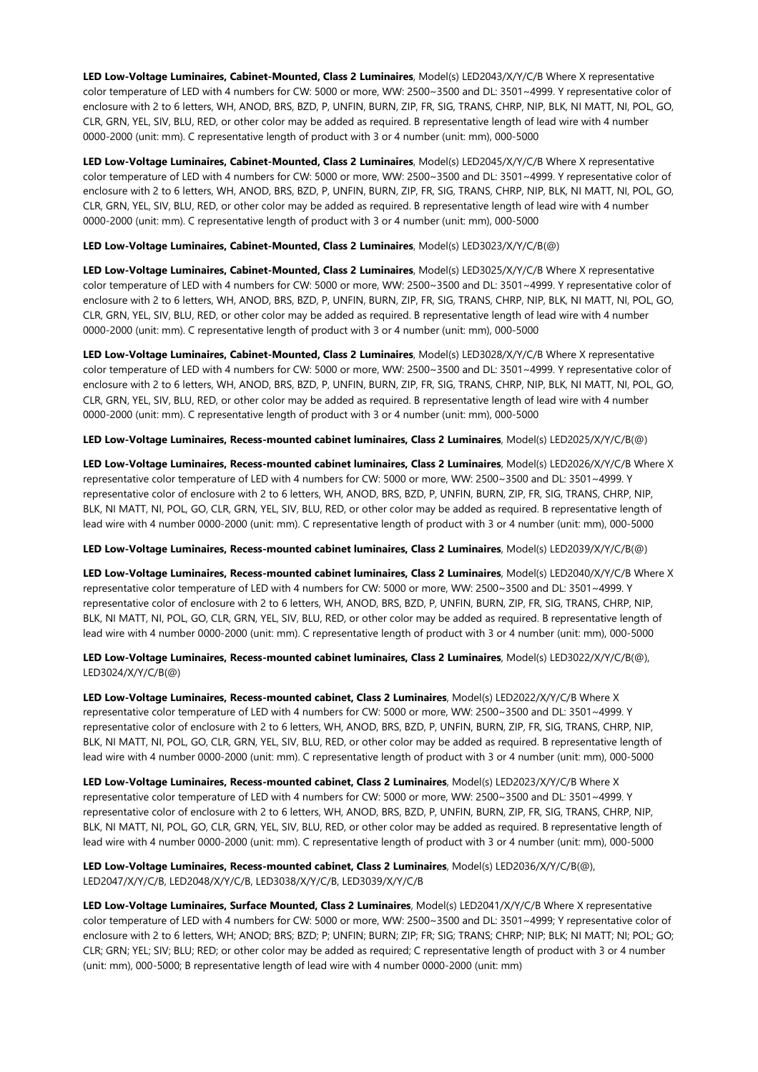**LED Low-Voltage Luminaires, Cabinet-Mounted, Class 2 Luminaires**, Model(s) LED2043/X/Y/C/B Where X representative color temperature of LED with 4 numbers for CW: 5000 or more, WW: 2500~3500 and DL: 3501~4999. Y representative color of enclosure with 2 to 6 letters, WH, ANOD, BRS, BZD, P, UNFIN, BURN, ZIP, FR, SIG, TRANS, CHRP, NIP, BLK, NI MATT, NI, POL, GO, CLR, GRN, YEL, SIV, BLU, RED, or other color may be added as required. B representative length of lead wire with 4 number 0000-2000 (unit: mm). C representative length of product with 3 or 4 number (unit: mm), 000-5000

**LED Low-Voltage Luminaires, Cabinet-Mounted, Class 2 Luminaires**, Model(s) LED2045/X/Y/C/B Where X representative color temperature of LED with 4 numbers for CW: 5000 or more, WW: 2500~3500 and DL: 3501~4999. Y representative color of enclosure with 2 to 6 letters, WH, ANOD, BRS, BZD, P, UNFIN, BURN, ZIP, FR, SIG, TRANS, CHRP, NIP, BLK, NI MATT, NI, POL, GO, CLR, GRN, YEL, SIV, BLU, RED, or other color may be added as required. B representative length of lead wire with 4 number 0000-2000 (unit: mm). C representative length of product with 3 or 4 number (unit: mm), 000-5000

#### **LED Low-Voltage Luminaires, Cabinet-Mounted, Class 2 Luminaires**, Model(s) LED3023/X/Y/C/B(@)

**LED Low-Voltage Luminaires, Cabinet-Mounted, Class 2 Luminaires**, Model(s) LED3025/X/Y/C/B Where X representative color temperature of LED with 4 numbers for CW: 5000 or more, WW: 2500~3500 and DL: 3501~4999. Y representative color of enclosure with 2 to 6 letters, WH, ANOD, BRS, BZD, P, UNFIN, BURN, ZIP, FR, SIG, TRANS, CHRP, NIP, BLK, NI MATT, NI, POL, GO, CLR, GRN, YEL, SIV, BLU, RED, or other color may be added as required. B representative length of lead wire with 4 number 0000-2000 (unit: mm). C representative length of product with 3 or 4 number (unit: mm), 000-5000

**LED Low-Voltage Luminaires, Cabinet-Mounted, Class 2 Luminaires**, Model(s) LED3028/X/Y/C/B Where X representative color temperature of LED with 4 numbers for CW: 5000 or more, WW: 2500~3500 and DL: 3501~4999. Y representative color of enclosure with 2 to 6 letters, WH, ANOD, BRS, BZD, P, UNFIN, BURN, ZIP, FR, SIG, TRANS, CHRP, NIP, BLK, NI MATT, NI, POL, GO, CLR, GRN, YEL, SIV, BLU, RED, or other color may be added as required. B representative length of lead wire with 4 number 0000-2000 (unit: mm). C representative length of product with 3 or 4 number (unit: mm), 000-5000

#### **LED Low-Voltage Luminaires, Recess-mounted cabinet luminaires, Class 2 Luminaires**, Model(s) LED2025/X/Y/C/B(@)

**LED Low-Voltage Luminaires, Recess-mounted cabinet luminaires, Class 2 Luminaires**, Model(s) LED2026/X/Y/C/B Where X representative color temperature of LED with 4 numbers for CW: 5000 or more, WW: 2500~3500 and DL: 3501~4999. Y representative color of enclosure with 2 to 6 letters, WH, ANOD, BRS, BZD, P, UNFIN, BURN, ZIP, FR, SIG, TRANS, CHRP, NIP, BLK, NI MATT, NI, POL, GO, CLR, GRN, YEL, SIV, BLU, RED, or other color may be added as required. B representative length of lead wire with 4 number 0000-2000 (unit: mm). C representative length of product with 3 or 4 number (unit: mm), 000-5000

#### **LED Low-Voltage Luminaires, Recess-mounted cabinet luminaires, Class 2 Luminaires**, Model(s) LED2039/X/Y/C/B(@)

**LED Low-Voltage Luminaires, Recess-mounted cabinet luminaires, Class 2 Luminaires**, Model(s) LED2040/X/Y/C/B Where X representative color temperature of LED with 4 numbers for CW: 5000 or more, WW: 2500~3500 and DL: 3501~4999. Y representative color of enclosure with 2 to 6 letters, WH, ANOD, BRS, BZD, P, UNFIN, BURN, ZIP, FR, SIG, TRANS, CHRP, NIP, BLK, NI MATT, NI, POL, GO, CLR, GRN, YEL, SIV, BLU, RED, or other color may be added as required. B representative length of lead wire with 4 number 0000-2000 (unit: mm). C representative length of product with 3 or 4 number (unit: mm), 000-5000

# **LED Low-Voltage Luminaires, Recess-mounted cabinet luminaires, Class 2 Luminaires**, Model(s) LED3022/X/Y/C/B(@), LED3024/X/Y/C/B(@)

**LED Low-Voltage Luminaires, Recess-mounted cabinet, Class 2 Luminaires**, Model(s) LED2022/X/Y/C/B Where X representative color temperature of LED with 4 numbers for CW: 5000 or more, WW: 2500~3500 and DL: 3501~4999. Y representative color of enclosure with 2 to 6 letters, WH, ANOD, BRS, BZD, P, UNFIN, BURN, ZIP, FR, SIG, TRANS, CHRP, NIP, BLK, NI MATT, NI, POL, GO, CLR, GRN, YEL, SIV, BLU, RED, or other color may be added as required. B representative length of lead wire with 4 number 0000-2000 (unit: mm). C representative length of product with 3 or 4 number (unit: mm), 000-5000

**LED Low-Voltage Luminaires, Recess-mounted cabinet, Class 2 Luminaires**, Model(s) LED2023/X/Y/C/B Where X representative color temperature of LED with 4 numbers for CW: 5000 or more, WW: 2500~3500 and DL: 3501~4999. Y representative color of enclosure with 2 to 6 letters, WH, ANOD, BRS, BZD, P, UNFIN, BURN, ZIP, FR, SIG, TRANS, CHRP, NIP, BLK, NI MATT, NI, POL, GO, CLR, GRN, YEL, SIV, BLU, RED, or other color may be added as required. B representative length of lead wire with 4 number 0000-2000 (unit: mm). C representative length of product with 3 or 4 number (unit: mm), 000-5000

# **LED Low-Voltage Luminaires, Recess-mounted cabinet, Class 2 Luminaires**, Model(s) LED2036/X/Y/C/B(@), LED2047/X/Y/C/B, LED2048/X/Y/C/B, LED3038/X/Y/C/B, LED3039/X/Y/C/B

**LED Low-Voltage Luminaires, Surface Mounted, Class 2 Luminaires**, Model(s) LED2041/X/Y/C/B Where X representative color temperature of LED with 4 numbers for CW: 5000 or more, WW: 2500~3500 and DL: 3501~4999; Y representative color of enclosure with 2 to 6 letters, WH; ANOD; BRS; BZD; P; UNFIN; BURN; ZIP; FR; SIG; TRANS; CHRP; NIP; BLK; NI MATT; NI; POL; GO; CLR; GRN; YEL; SIV; BLU; RED; or other color may be added as required; C representative length of product with 3 or 4 number (unit: mm), 000-5000; B representative length of lead wire with 4 number 0000-2000 (unit: mm)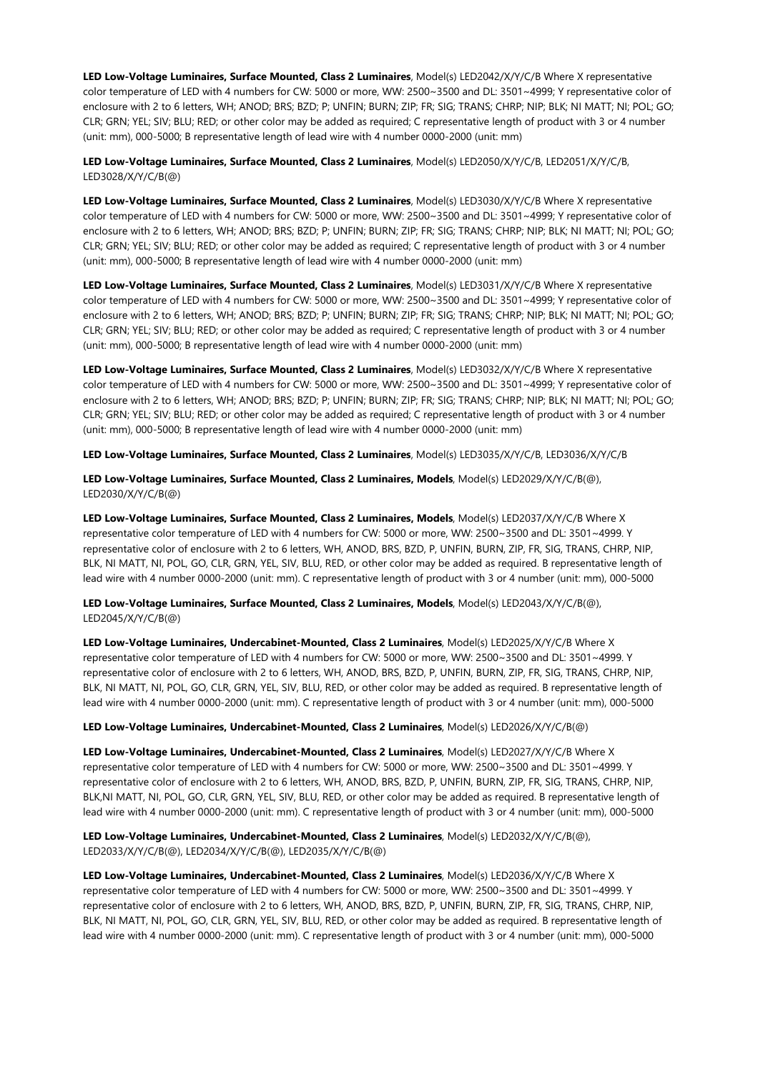**LED Low-Voltage Luminaires, Surface Mounted, Class 2 Luminaires**, Model(s) LED2042/X/Y/C/B Where X representative color temperature of LED with 4 numbers for CW: 5000 or more, WW: 2500~3500 and DL: 3501~4999; Y representative color of enclosure with 2 to 6 letters, WH; ANOD; BRS; BZD; P; UNFIN; BURN; ZIP; FR; SIG; TRANS; CHRP; NIP; BLK; NI MATT; NI; POL; GO; CLR; GRN; YEL; SIV; BLU; RED; or other color may be added as required; C representative length of product with 3 or 4 number (unit: mm), 000-5000; B representative length of lead wire with 4 number 0000-2000 (unit: mm)

**LED Low-Voltage Luminaires, Surface Mounted, Class 2 Luminaires**, Model(s) LED2050/X/Y/C/B, LED2051/X/Y/C/B, LED3028/X/Y/C/B(@)

**LED Low-Voltage Luminaires, Surface Mounted, Class 2 Luminaires**, Model(s) LED3030/X/Y/C/B Where X representative color temperature of LED with 4 numbers for CW: 5000 or more, WW: 2500~3500 and DL: 3501~4999; Y representative color of enclosure with 2 to 6 letters, WH; ANOD; BRS; BZD; P; UNFIN; BURN; ZIP; FR; SIG; TRANS; CHRP; NIP; BLK; NI MATT; NI; POL; GO; CLR; GRN; YEL; SIV; BLU; RED; or other color may be added as required; C representative length of product with 3 or 4 number (unit: mm), 000-5000; B representative length of lead wire with 4 number 0000-2000 (unit: mm)

**LED Low-Voltage Luminaires, Surface Mounted, Class 2 Luminaires**, Model(s) LED3031/X/Y/C/B Where X representative color temperature of LED with 4 numbers for CW: 5000 or more, WW: 2500~3500 and DL: 3501~4999; Y representative color of enclosure with 2 to 6 letters, WH; ANOD; BRS; BZD; P; UNFIN; BURN; ZIP; FR; SIG; TRANS; CHRP; NIP; BLK; NI MATT; NI; POL; GO; CLR; GRN; YEL; SIV; BLU; RED; or other color may be added as required; C representative length of product with 3 or 4 number (unit: mm), 000-5000; B representative length of lead wire with 4 number 0000-2000 (unit: mm)

**LED Low-Voltage Luminaires, Surface Mounted, Class 2 Luminaires**, Model(s) LED3032/X/Y/C/B Where X representative color temperature of LED with 4 numbers for CW: 5000 or more, WW: 2500~3500 and DL: 3501~4999; Y representative color of enclosure with 2 to 6 letters, WH; ANOD; BRS; BZD; P; UNFIN; BURN; ZIP; FR; SIG; TRANS; CHRP; NIP; BLK; NI MATT; NI; POL; GO; CLR; GRN; YEL; SIV; BLU; RED; or other color may be added as required; C representative length of product with 3 or 4 number (unit: mm), 000-5000; B representative length of lead wire with 4 number 0000-2000 (unit: mm)

**LED Low-Voltage Luminaires, Surface Mounted, Class 2 Luminaires**, Model(s) LED3035/X/Y/C/B, LED3036/X/Y/C/B

**LED Low-Voltage Luminaires, Surface Mounted, Class 2 Luminaires, Models**, Model(s) LED2029/X/Y/C/B(@), LED2030/X/Y/C/B(@)

**LED Low-Voltage Luminaires, Surface Mounted, Class 2 Luminaires, Models**, Model(s) LED2037/X/Y/C/B Where X representative color temperature of LED with 4 numbers for CW: 5000 or more, WW: 2500~3500 and DL: 3501~4999. Y representative color of enclosure with 2 to 6 letters, WH, ANOD, BRS, BZD, P, UNFIN, BURN, ZIP, FR, SIG, TRANS, CHRP, NIP, BLK, NI MATT, NI, POL, GO, CLR, GRN, YEL, SIV, BLU, RED, or other color may be added as required. B representative length of lead wire with 4 number 0000-2000 (unit: mm). C representative length of product with 3 or 4 number (unit: mm), 000-5000

**LED Low-Voltage Luminaires, Surface Mounted, Class 2 Luminaires, Models**, Model(s) LED2043/X/Y/C/B(@), LED2045/X/Y/C/B(@)

**LED Low-Voltage Luminaires, Undercabinet-Mounted, Class 2 Luminaires**, Model(s) LED2025/X/Y/C/B Where X representative color temperature of LED with 4 numbers for CW: 5000 or more, WW: 2500~3500 and DL: 3501~4999. Y representative color of enclosure with 2 to 6 letters, WH, ANOD, BRS, BZD, P, UNFIN, BURN, ZIP, FR, SIG, TRANS, CHRP, NIP, BLK, NI MATT, NI, POL, GO, CLR, GRN, YEL, SIV, BLU, RED, or other color may be added as required. B representative length of lead wire with 4 number 0000-2000 (unit: mm). C representative length of product with 3 or 4 number (unit: mm), 000-5000

# **LED Low-Voltage Luminaires, Undercabinet-Mounted, Class 2 Luminaires**, Model(s) LED2026/X/Y/C/B(@)

**LED Low-Voltage Luminaires, Undercabinet-Mounted, Class 2 Luminaires**, Model(s) LED2027/X/Y/C/B Where X representative color temperature of LED with 4 numbers for CW: 5000 or more, WW: 2500~3500 and DL: 3501~4999. Y representative color of enclosure with 2 to 6 letters, WH, ANOD, BRS, BZD, P, UNFIN, BURN, ZIP, FR, SIG, TRANS, CHRP, NIP, BLK,NI MATT, NI, POL, GO, CLR, GRN, YEL, SIV, BLU, RED, or other color may be added as required. B representative length of lead wire with 4 number 0000-2000 (unit: mm). C representative length of product with 3 or 4 number (unit: mm), 000-5000

**LED Low-Voltage Luminaires, Undercabinet-Mounted, Class 2 Luminaires**, Model(s) LED2032/X/Y/C/B(@), LED2033/X/Y/C/B(@), LED2034/X/Y/C/B(@), LED2035/X/Y/C/B(@)

**LED Low-Voltage Luminaires, Undercabinet-Mounted, Class 2 Luminaires**, Model(s) LED2036/X/Y/C/B Where X representative color temperature of LED with 4 numbers for CW: 5000 or more, WW: 2500~3500 and DL: 3501~4999. Y representative color of enclosure with 2 to 6 letters, WH, ANOD, BRS, BZD, P, UNFIN, BURN, ZIP, FR, SIG, TRANS, CHRP, NIP, BLK, NI MATT, NI, POL, GO, CLR, GRN, YEL, SIV, BLU, RED, or other color may be added as required. B representative length of lead wire with 4 number 0000-2000 (unit: mm). C representative length of product with 3 or 4 number (unit: mm), 000-5000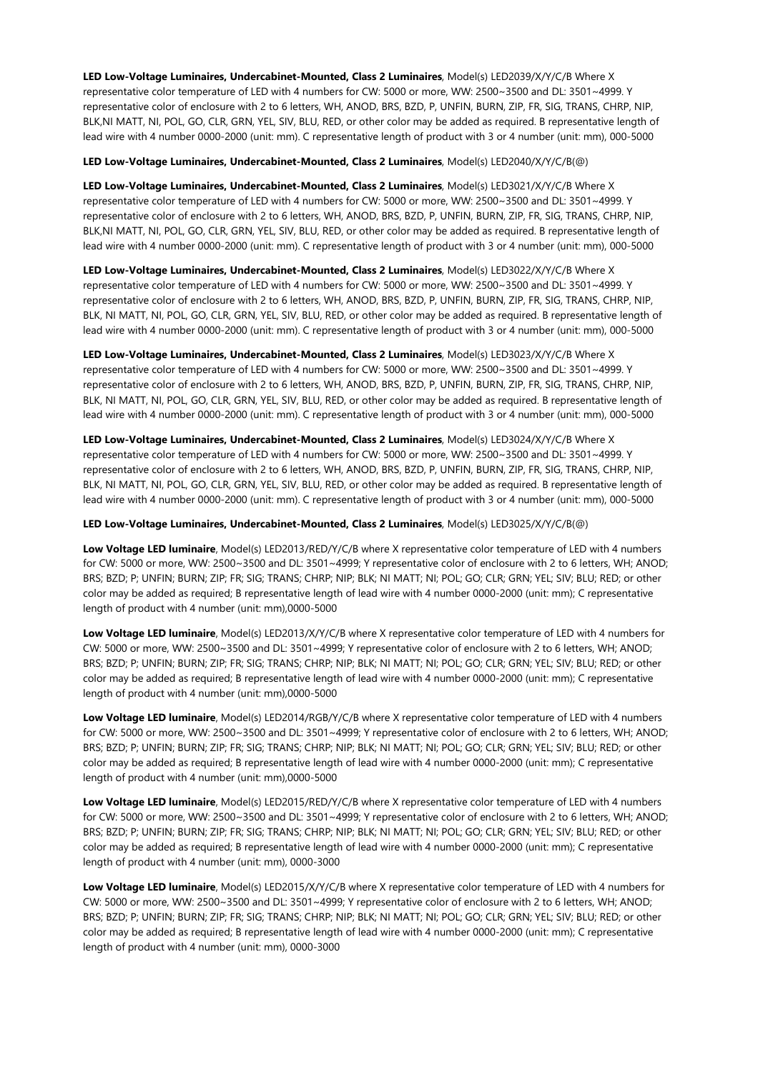**LED Low-Voltage Luminaires, Undercabinet-Mounted, Class 2 Luminaires**, Model(s) LED2039/X/Y/C/B Where X representative color temperature of LED with 4 numbers for CW: 5000 or more, WW: 2500~3500 and DL: 3501~4999. Y representative color of enclosure with 2 to 6 letters, WH, ANOD, BRS, BZD, P, UNFIN, BURN, ZIP, FR, SIG, TRANS, CHRP, NIP, BLK,NI MATT, NI, POL, GO, CLR, GRN, YEL, SIV, BLU, RED, or other color may be added as required. B representative length of lead wire with 4 number 0000-2000 (unit: mm). C representative length of product with 3 or 4 number (unit: mm), 000-5000

**LED Low-Voltage Luminaires, Undercabinet-Mounted, Class 2 Luminaires**, Model(s) LED2040/X/Y/C/B(@)

**LED Low-Voltage Luminaires, Undercabinet-Mounted, Class 2 Luminaires**, Model(s) LED3021/X/Y/C/B Where X representative color temperature of LED with 4 numbers for CW: 5000 or more, WW: 2500~3500 and DL: 3501~4999. Y representative color of enclosure with 2 to 6 letters, WH, ANOD, BRS, BZD, P, UNFIN, BURN, ZIP, FR, SIG, TRANS, CHRP, NIP, BLK,NI MATT, NI, POL, GO, CLR, GRN, YEL, SIV, BLU, RED, or other color may be added as required. B representative length of lead wire with 4 number 0000-2000 (unit: mm). C representative length of product with 3 or 4 number (unit: mm), 000-5000

**LED Low-Voltage Luminaires, Undercabinet-Mounted, Class 2 Luminaires**, Model(s) LED3022/X/Y/C/B Where X representative color temperature of LED with 4 numbers for CW: 5000 or more, WW: 2500~3500 and DL: 3501~4999. Y representative color of enclosure with 2 to 6 letters, WH, ANOD, BRS, BZD, P, UNFIN, BURN, ZIP, FR, SIG, TRANS, CHRP, NIP, BLK, NI MATT, NI, POL, GO, CLR, GRN, YEL, SIV, BLU, RED, or other color may be added as required. B representative length of lead wire with 4 number 0000-2000 (unit: mm). C representative length of product with 3 or 4 number (unit: mm), 000-5000

**LED Low-Voltage Luminaires, Undercabinet-Mounted, Class 2 Luminaires**, Model(s) LED3023/X/Y/C/B Where X representative color temperature of LED with 4 numbers for CW: 5000 or more, WW: 2500~3500 and DL: 3501~4999. Y representative color of enclosure with 2 to 6 letters, WH, ANOD, BRS, BZD, P, UNFIN, BURN, ZIP, FR, SIG, TRANS, CHRP, NIP, BLK, NI MATT, NI, POL, GO, CLR, GRN, YEL, SIV, BLU, RED, or other color may be added as required. B representative length of lead wire with 4 number 0000-2000 (unit: mm). C representative length of product with 3 or 4 number (unit: mm), 000-5000

**LED Low-Voltage Luminaires, Undercabinet-Mounted, Class 2 Luminaires**, Model(s) LED3024/X/Y/C/B Where X representative color temperature of LED with 4 numbers for CW: 5000 or more, WW: 2500~3500 and DL: 3501~4999. Y representative color of enclosure with 2 to 6 letters, WH, ANOD, BRS, BZD, P, UNFIN, BURN, ZIP, FR, SIG, TRANS, CHRP, NIP, BLK, NI MATT, NI, POL, GO, CLR, GRN, YEL, SIV, BLU, RED, or other color may be added as required. B representative length of lead wire with 4 number 0000-2000 (unit: mm). C representative length of product with 3 or 4 number (unit: mm), 000-5000

**LED Low-Voltage Luminaires, Undercabinet-Mounted, Class 2 Luminaires**, Model(s) LED3025/X/Y/C/B(@)

**Low Voltage LED luminaire**, Model(s) LED2013/RED/Y/C/B where X representative color temperature of LED with 4 numbers for CW: 5000 or more, WW: 2500~3500 and DL: 3501~4999; Y representative color of enclosure with 2 to 6 letters, WH; ANOD; BRS; BZD; P; UNFIN; BURN; ZIP; FR; SIG; TRANS; CHRP; NIP; BLK; NI MATT; NI; POL; GO; CLR; GRN; YEL; SIV; BLU; RED; or other color may be added as required; B representative length of lead wire with 4 number 0000-2000 (unit: mm); C representative length of product with 4 number (unit: mm),0000-5000

**Low Voltage LED luminaire**, Model(s) LED2013/X/Y/C/B where X representative color temperature of LED with 4 numbers for CW: 5000 or more, WW: 2500~3500 and DL: 3501~4999; Y representative color of enclosure with 2 to 6 letters, WH; ANOD; BRS; BZD; P; UNFIN; BURN; ZIP; FR; SIG; TRANS; CHRP; NIP; BLK; NI MATT; NI; POL; GO; CLR; GRN; YEL; SIV; BLU; RED; or other color may be added as required; B representative length of lead wire with 4 number 0000-2000 (unit: mm); C representative length of product with 4 number (unit: mm),0000-5000

**Low Voltage LED luminaire**, Model(s) LED2014/RGB/Y/C/B where X representative color temperature of LED with 4 numbers for CW: 5000 or more, WW: 2500~3500 and DL: 3501~4999; Y representative color of enclosure with 2 to 6 letters, WH; ANOD; BRS; BZD; P; UNFIN; BURN; ZIP; FR; SIG; TRANS; CHRP; NIP; BLK; NI MATT; NI; POL; GO; CLR; GRN; YEL; SIV; BLU; RED; or other color may be added as required; B representative length of lead wire with 4 number 0000-2000 (unit: mm); C representative length of product with 4 number (unit: mm),0000-5000

**Low Voltage LED luminaire**, Model(s) LED2015/RED/Y/C/B where X representative color temperature of LED with 4 numbers for CW: 5000 or more, WW: 2500~3500 and DL: 3501~4999; Y representative color of enclosure with 2 to 6 letters, WH; ANOD; BRS; BZD; P; UNFIN; BURN; ZIP; FR; SIG; TRANS; CHRP; NIP; BLK; NI MATT; NI; POL; GO; CLR; GRN; YEL; SIV; BLU; RED; or other color may be added as required; B representative length of lead wire with 4 number 0000-2000 (unit: mm); C representative length of product with 4 number (unit: mm), 0000-3000

**Low Voltage LED luminaire**, Model(s) LED2015/X/Y/C/B where X representative color temperature of LED with 4 numbers for CW: 5000 or more, WW: 2500~3500 and DL: 3501~4999; Y representative color of enclosure with 2 to 6 letters, WH; ANOD; BRS; BZD; P; UNFIN; BURN; ZIP; FR; SIG; TRANS; CHRP; NIP; BLK; NI MATT; NI; POL; GO; CLR; GRN; YEL; SIV; BLU; RED; or other color may be added as required; B representative length of lead wire with 4 number 0000-2000 (unit: mm); C representative length of product with 4 number (unit: mm), 0000-3000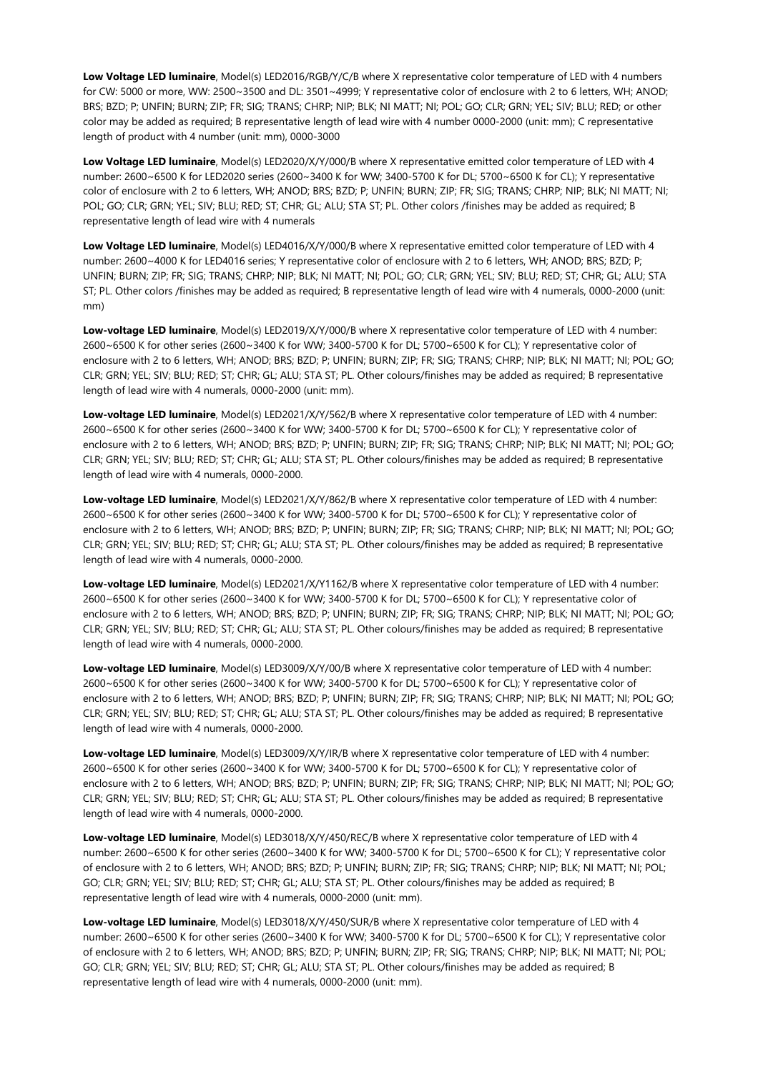**Low Voltage LED luminaire**, Model(s) LED2016/RGB/Y/C/B where X representative color temperature of LED with 4 numbers for CW: 5000 or more, WW: 2500~3500 and DL: 3501~4999; Y representative color of enclosure with 2 to 6 letters, WH; ANOD; BRS; BZD; P; UNFIN; BURN; ZIP; FR; SIG; TRANS; CHRP; NIP; BLK; NI MATT; NI; POL; GO; CLR; GRN; YEL; SIV; BLU; RED; or other color may be added as required; B representative length of lead wire with 4 number 0000-2000 (unit: mm); C representative length of product with 4 number (unit: mm), 0000-3000

**Low Voltage LED luminaire**, Model(s) LED2020/X/Y/000/B where X representative emitted color temperature of LED with 4 number: 2600~6500 K for LED2020 series (2600~3400 K for WW; 3400-5700 K for DL; 5700~6500 K for CL); Y representative color of enclosure with 2 to 6 letters, WH; ANOD; BRS; BZD; P; UNFIN; BURN; ZIP; FR; SIG; TRANS; CHRP; NIP; BLK; NI MATT; NI; POL; GO; CLR; GRN; YEL; SIV; BLU; RED; ST; CHR; GL; ALU; STA ST; PL. Other colors /finishes may be added as required; B representative length of lead wire with 4 numerals

**Low Voltage LED luminaire**, Model(s) LED4016/X/Y/000/B where X representative emitted color temperature of LED with 4 number: 2600~4000 K for LED4016 series; Y representative color of enclosure with 2 to 6 letters, WH; ANOD; BRS; BZD; P; UNFIN; BURN; ZIP; FR; SIG; TRANS; CHRP; NIP; BLK; NI MATT; NI; POL; GO; CLR; GRN; YEL; SIV; BLU; RED; ST; CHR; GL; ALU; STA ST; PL. Other colors /finishes may be added as required; B representative length of lead wire with 4 numerals, 0000-2000 (unit: mm)

**Low-voltage LED luminaire**, Model(s) LED2019/X/Y/000/B where X representative color temperature of LED with 4 number: 2600~6500 K for other series (2600~3400 K for WW; 3400-5700 K for DL; 5700~6500 K for CL); Y representative color of enclosure with 2 to 6 letters, WH; ANOD; BRS; BZD; P; UNFIN; BURN; ZIP; FR; SIG; TRANS; CHRP; NIP; BLK; NI MATT; NI; POL; GO; CLR; GRN; YEL; SIV; BLU; RED; ST; CHR; GL; ALU; STA ST; PL. Other colours/finishes may be added as required; B representative length of lead wire with 4 numerals, 0000-2000 (unit: mm).

**Low-voltage LED luminaire**, Model(s) LED2021/X/Y/562/B where X representative color temperature of LED with 4 number: 2600~6500 K for other series (2600~3400 K for WW; 3400-5700 K for DL; 5700~6500 K for CL); Y representative color of enclosure with 2 to 6 letters, WH; ANOD; BRS; BZD; P; UNFIN; BURN; ZIP; FR; SIG; TRANS; CHRP; NIP; BLK; NI MATT; NI; POL; GO; CLR; GRN; YEL; SIV; BLU; RED; ST; CHR; GL; ALU; STA ST; PL. Other colours/finishes may be added as required; B representative length of lead wire with 4 numerals, 0000-2000.

**Low-voltage LED luminaire**, Model(s) LED2021/X/Y/862/B where X representative color temperature of LED with 4 number: 2600~6500 K for other series (2600~3400 K for WW; 3400-5700 K for DL; 5700~6500 K for CL); Y representative color of enclosure with 2 to 6 letters, WH; ANOD; BRS; BZD; P; UNFIN; BURN; ZIP; FR; SIG; TRANS; CHRP; NIP; BLK; NI MATT; NI; POL; GO; CLR; GRN; YEL; SIV; BLU; RED; ST; CHR; GL; ALU; STA ST; PL. Other colours/finishes may be added as required; B representative length of lead wire with 4 numerals, 0000-2000.

**Low-voltage LED luminaire**, Model(s) LED2021/X/Y1162/B where X representative color temperature of LED with 4 number: 2600~6500 K for other series (2600~3400 K for WW; 3400-5700 K for DL; 5700~6500 K for CL); Y representative color of enclosure with 2 to 6 letters, WH; ANOD; BRS; BZD; P; UNFIN; BURN; ZIP; FR; SIG; TRANS; CHRP; NIP; BLK; NI MATT; NI; POL; GO; CLR; GRN; YEL; SIV; BLU; RED; ST; CHR; GL; ALU; STA ST; PL. Other colours/finishes may be added as required; B representative length of lead wire with 4 numerals, 0000-2000.

**Low-voltage LED luminaire**, Model(s) LED3009/X/Y/00/B where X representative color temperature of LED with 4 number: 2600~6500 K for other series (2600~3400 K for WW; 3400-5700 K for DL; 5700~6500 K for CL); Y representative color of enclosure with 2 to 6 letters, WH; ANOD; BRS; BZD; P; UNFIN; BURN; ZIP; FR; SIG; TRANS; CHRP; NIP; BLK; NI MATT; NI; POL; GO; CLR; GRN; YEL; SIV; BLU; RED; ST; CHR; GL; ALU; STA ST; PL. Other colours/finishes may be added as required; B representative length of lead wire with 4 numerals, 0000-2000.

**Low-voltage LED luminaire**, Model(s) LED3009/X/Y/IR/B where X representative color temperature of LED with 4 number: 2600~6500 K for other series (2600~3400 K for WW; 3400-5700 K for DL; 5700~6500 K for CL); Y representative color of enclosure with 2 to 6 letters, WH; ANOD; BRS; BZD; P; UNFIN; BURN; ZIP; FR; SIG; TRANS; CHRP; NIP; BLK; NI MATT; NI; POL; GO; CLR; GRN; YEL; SIV; BLU; RED; ST; CHR; GL; ALU; STA ST; PL. Other colours/finishes may be added as required; B representative length of lead wire with 4 numerals, 0000-2000.

**Low-voltage LED luminaire**, Model(s) LED3018/X/Y/450/REC/B where X representative color temperature of LED with 4 number: 2600~6500 K for other series (2600~3400 K for WW; 3400-5700 K for DL; 5700~6500 K for CL); Y representative color of enclosure with 2 to 6 letters, WH; ANOD; BRS; BZD; P; UNFIN; BURN; ZIP; FR; SIG; TRANS; CHRP; NIP; BLK; NI MATT; NI; POL; GO; CLR; GRN; YEL; SIV; BLU; RED; ST; CHR; GL; ALU; STA ST; PL. Other colours/finishes may be added as required; B representative length of lead wire with 4 numerals, 0000-2000 (unit: mm).

**Low-voltage LED luminaire**, Model(s) LED3018/X/Y/450/SUR/B where X representative color temperature of LED with 4 number: 2600~6500 K for other series (2600~3400 K for WW; 3400-5700 K for DL; 5700~6500 K for CL); Y representative color of enclosure with 2 to 6 letters, WH; ANOD; BRS; BZD; P; UNFIN; BURN; ZIP; FR; SIG; TRANS; CHRP; NIP; BLK; NI MATT; NI; POL; GO; CLR; GRN; YEL; SIV; BLU; RED; ST; CHR; GL; ALU; STA ST; PL. Other colours/finishes may be added as required; B representative length of lead wire with 4 numerals, 0000-2000 (unit: mm).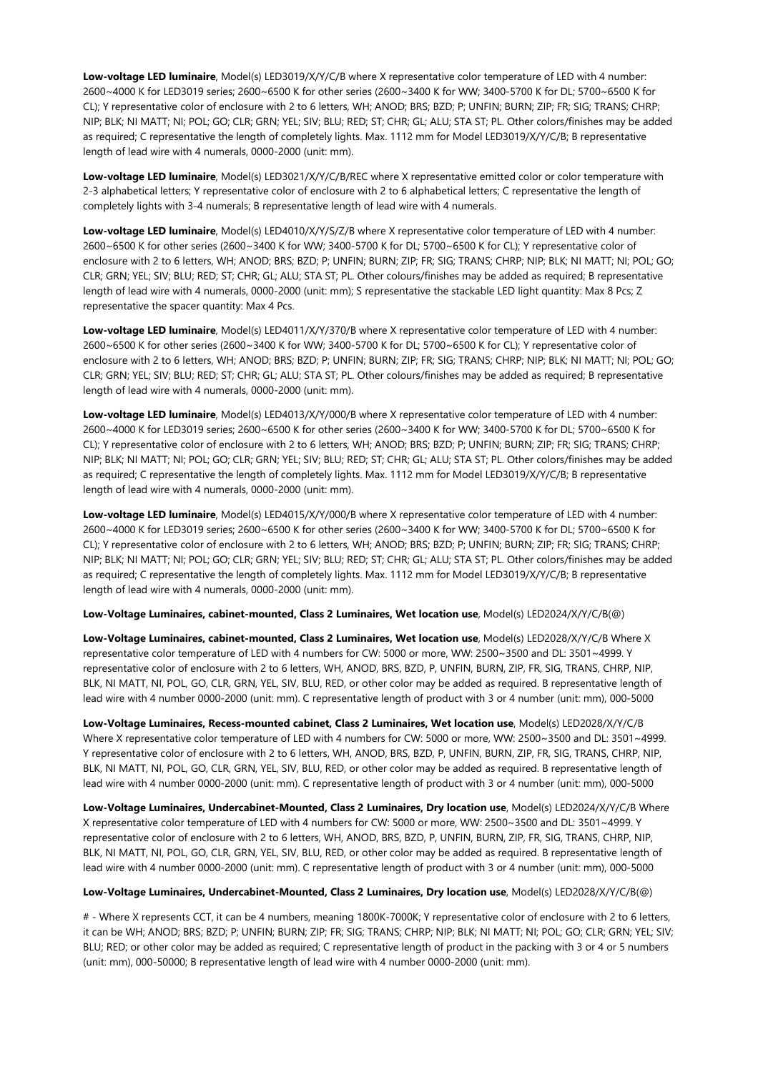**Low-voltage LED luminaire**, Model(s) LED3019/X/Y/C/B where X representative color temperature of LED with 4 number: 2600~4000 K for LED3019 series; 2600~6500 K for other series (2600~3400 K for WW; 3400-5700 K for DL; 5700~6500 K for CL); Y representative color of enclosure with 2 to 6 letters, WH; ANOD; BRS; BZD; P; UNFIN; BURN; ZIP; FR; SIG; TRANS; CHRP; NIP; BLK; NI MATT; NI; POL; GO; CLR; GRN; YEL; SIV; BLU; RED; ST; CHR; GL; ALU; STA ST; PL. Other colors/finishes may be added as required; C representative the length of completely lights. Max. 1112 mm for Model LED3019/X/Y/C/B; B representative length of lead wire with 4 numerals, 0000-2000 (unit: mm).

**Low-voltage LED luminaire**, Model(s) LED3021/X/Y/C/B/REC where X representative emitted color or color temperature with 2-3 alphabetical letters; Y representative color of enclosure with 2 to 6 alphabetical letters; C representative the length of completely lights with 3-4 numerals; B representative length of lead wire with 4 numerals.

**Low-voltage LED luminaire**, Model(s) LED4010/X/Y/S/Z/B where X representative color temperature of LED with 4 number: 2600~6500 K for other series (2600~3400 K for WW; 3400-5700 K for DL; 5700~6500 K for CL); Y representative color of enclosure with 2 to 6 letters, WH; ANOD; BRS; BZD; P; UNFIN; BURN; ZIP; FR; SIG; TRANS; CHRP; NIP; BLK; NI MATT; NI; POL; GO; CLR; GRN; YEL; SIV; BLU; RED; ST; CHR; GL; ALU; STA ST; PL. Other colours/finishes may be added as required; B representative length of lead wire with 4 numerals, 0000-2000 (unit: mm); S representative the stackable LED light quantity: Max 8 Pcs; Z representative the spacer quantity: Max 4 Pcs.

**Low-voltage LED luminaire**, Model(s) LED4011/X/Y/370/B where X representative color temperature of LED with 4 number: 2600~6500 K for other series (2600~3400 K for WW; 3400-5700 K for DL; 5700~6500 K for CL); Y representative color of enclosure with 2 to 6 letters, WH; ANOD; BRS; BZD; P; UNFIN; BURN; ZIP; FR; SIG; TRANS; CHRP; NIP; BLK; NI MATT; NI; POL; GO; CLR; GRN; YEL; SIV; BLU; RED; ST; CHR; GL; ALU; STA ST; PL. Other colours/finishes may be added as required; B representative length of lead wire with 4 numerals, 0000-2000 (unit: mm).

**Low-voltage LED luminaire**, Model(s) LED4013/X/Y/000/B where X representative color temperature of LED with 4 number: 2600~4000 K for LED3019 series; 2600~6500 K for other series (2600~3400 K for WW; 3400-5700 K for DL; 5700~6500 K for CL); Y representative color of enclosure with 2 to 6 letters, WH; ANOD; BRS; BZD; P; UNFIN; BURN; ZIP; FR; SIG; TRANS; CHRP; NIP; BLK; NI MATT; NI; POL; GO; CLR; GRN; YEL; SIV; BLU; RED; ST; CHR; GL; ALU; STA ST; PL. Other colors/finishes may be added as required; C representative the length of completely lights. Max. 1112 mm for Model LED3019/X/Y/C/B; B representative length of lead wire with 4 numerals, 0000-2000 (unit: mm).

**Low-voltage LED luminaire**, Model(s) LED4015/X/Y/000/B where X representative color temperature of LED with 4 number: 2600~4000 K for LED3019 series; 2600~6500 K for other series (2600~3400 K for WW; 3400-5700 K for DL; 5700~6500 K for CL); Y representative color of enclosure with 2 to 6 letters, WH; ANOD; BRS; BZD; P; UNFIN; BURN; ZIP; FR; SIG; TRANS; CHRP; NIP; BLK; NI MATT; NI; POL; GO; CLR; GRN; YEL; SIV; BLU; RED; ST; CHR; GL; ALU; STA ST; PL. Other colors/finishes may be added as required; C representative the length of completely lights. Max. 1112 mm for Model LED3019/X/Y/C/B; B representative length of lead wire with 4 numerals, 0000-2000 (unit: mm).

# **Low-Voltage Luminaires, cabinet-mounted, Class 2 Luminaires, Wet location use**, Model(s) LED2024/X/Y/C/B(@)

**Low-Voltage Luminaires, cabinet-mounted, Class 2 Luminaires, Wet location use**, Model(s) LED2028/X/Y/C/B Where X representative color temperature of LED with 4 numbers for CW: 5000 or more, WW: 2500~3500 and DL: 3501~4999. Y representative color of enclosure with 2 to 6 letters, WH, ANOD, BRS, BZD, P, UNFIN, BURN, ZIP, FR, SIG, TRANS, CHRP, NIP, BLK, NI MATT, NI, POL, GO, CLR, GRN, YEL, SIV, BLU, RED, or other color may be added as required. B representative length of lead wire with 4 number 0000-2000 (unit: mm). C representative length of product with 3 or 4 number (unit: mm), 000-5000

**Low-Voltage Luminaires, Recess-mounted cabinet, Class 2 Luminaires, Wet location use**, Model(s) LED2028/X/Y/C/B Where X representative color temperature of LED with 4 numbers for CW: 5000 or more, WW: 2500~3500 and DL: 3501~4999. Y representative color of enclosure with 2 to 6 letters, WH, ANOD, BRS, BZD, P, UNFIN, BURN, ZIP, FR, SIG, TRANS, CHRP, NIP, BLK, NI MATT, NI, POL, GO, CLR, GRN, YEL, SIV, BLU, RED, or other color may be added as required. B representative length of lead wire with 4 number 0000-2000 (unit: mm). C representative length of product with 3 or 4 number (unit: mm), 000-5000

**Low-Voltage Luminaires, Undercabinet-Mounted, Class 2 Luminaires, Dry location use**, Model(s) LED2024/X/Y/C/B Where X representative color temperature of LED with 4 numbers for CW: 5000 or more, WW: 2500~3500 and DL: 3501~4999. Y representative color of enclosure with 2 to 6 letters, WH, ANOD, BRS, BZD, P, UNFIN, BURN, ZIP, FR, SIG, TRANS, CHRP, NIP, BLK, NI MATT, NI, POL, GO, CLR, GRN, YEL, SIV, BLU, RED, or other color may be added as required. B representative length of lead wire with 4 number 0000-2000 (unit: mm). C representative length of product with 3 or 4 number (unit: mm), 000-5000

#### **Low-Voltage Luminaires, Undercabinet-Mounted, Class 2 Luminaires, Dry location use**, Model(s) LED2028/X/Y/C/B(@)

# - Where X represents CCT, it can be 4 numbers, meaning 1800K-7000K; Y representative color of enclosure with 2 to 6 letters, it can be WH; ANOD; BRS; BZD; P; UNFIN; BURN; ZIP; FR; SIG; TRANS; CHRP; NIP; BLK; NI MATT; NI; POL; GO; CLR; GRN; YEL; SIV; BLU; RED; or other color may be added as required; C representative length of product in the packing with 3 or 4 or 5 numbers (unit: mm), 000-50000; B representative length of lead wire with 4 number 0000-2000 (unit: mm).